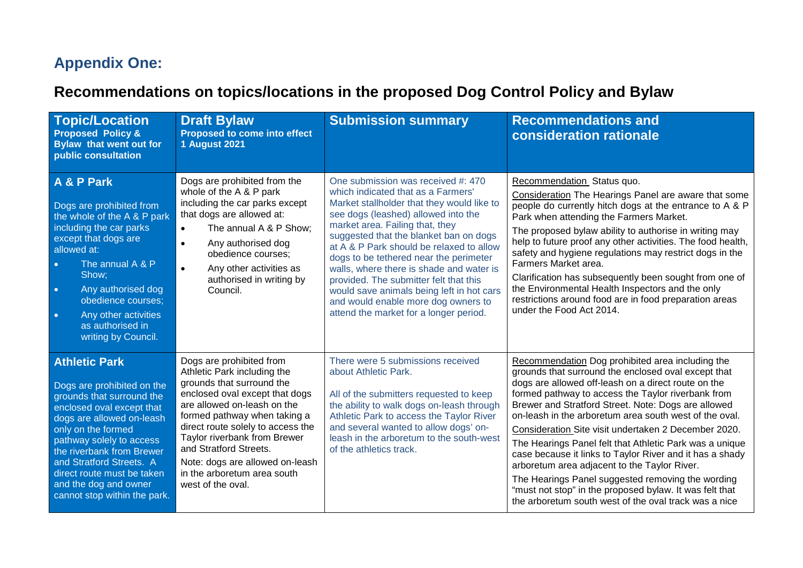## **Appendix One:**

## **Recommendations on topics/locations in the proposed Dog Control Policy and Bylaw**

| <b>Topic/Location</b><br><b>Proposed Policy &amp;</b><br><b>Bylaw that went out for</b><br>public consultation                                                                                                                                                                                                                              | <b>Draft Bylaw</b><br><b>Proposed to come into effect</b><br><b>1 August 2021</b>                                                                                                                                                                                                                                                                                           | <b>Submission summary</b>                                                                                                                                                                                                                                                                                                                                                                                                                                                                                                                            | <b>Recommendations and</b><br>consideration rationale                                                                                                                                                                                                                                                                                                                                                                                                                                                                                                                                                                                                                                                                                         |
|---------------------------------------------------------------------------------------------------------------------------------------------------------------------------------------------------------------------------------------------------------------------------------------------------------------------------------------------|-----------------------------------------------------------------------------------------------------------------------------------------------------------------------------------------------------------------------------------------------------------------------------------------------------------------------------------------------------------------------------|------------------------------------------------------------------------------------------------------------------------------------------------------------------------------------------------------------------------------------------------------------------------------------------------------------------------------------------------------------------------------------------------------------------------------------------------------------------------------------------------------------------------------------------------------|-----------------------------------------------------------------------------------------------------------------------------------------------------------------------------------------------------------------------------------------------------------------------------------------------------------------------------------------------------------------------------------------------------------------------------------------------------------------------------------------------------------------------------------------------------------------------------------------------------------------------------------------------------------------------------------------------------------------------------------------------|
| A & P Park<br>Dogs are prohibited from<br>the whole of the A & P park<br>including the car parks<br>except that dogs are<br>allowed at:<br>The annual A & P<br>$\bullet$<br>Show:<br>Any authorised dog<br>$\bullet$<br>obedience courses:<br>Any other activities<br>$\bullet$<br>as authorised in<br>writing by Council.                  | Dogs are prohibited from the<br>whole of the A & P park<br>including the car parks except<br>that dogs are allowed at:<br>The annual A & P Show;<br>$\bullet$<br>$\bullet$<br>Any authorised dog<br>obedience courses;<br>Any other activities as<br>$\bullet$<br>authorised in writing by<br>Council.                                                                      | One submission was received #: 470<br>which indicated that as a Farmers'<br>Market stallholder that they would like to<br>see dogs (leashed) allowed into the<br>market area. Failing that, they<br>suggested that the blanket ban on dogs<br>at A & P Park should be relaxed to allow<br>dogs to be tethered near the perimeter<br>walls, where there is shade and water is<br>provided. The submitter felt that this<br>would save animals being left in hot cars<br>and would enable more dog owners to<br>attend the market for a longer period. | Recommendation Status quo.<br>Consideration The Hearings Panel are aware that some<br>people do currently hitch dogs at the entrance to A & P<br>Park when attending the Farmers Market.<br>The proposed bylaw ability to authorise in writing may<br>help to future proof any other activities. The food health,<br>safety and hygiene regulations may restrict dogs in the<br>Farmers Market area.<br>Clarification has subsequently been sought from one of<br>the Environmental Health Inspectors and the only<br>restrictions around food are in food preparation areas<br>under the Food Act 2014.                                                                                                                                      |
| <b>Athletic Park</b><br>Dogs are prohibited on the<br>grounds that surround the<br>enclosed oval except that<br>dogs are allowed on-leash<br>only on the formed<br>pathway solely to access<br>the riverbank from Brewer<br>and Stratford Streets. A<br>direct route must be taken<br>and the dog and owner<br>cannot stop within the park. | Dogs are prohibited from<br>Athletic Park including the<br>grounds that surround the<br>enclosed oval except that dogs<br>are allowed on-leash on the<br>formed pathway when taking a<br>direct route solely to access the<br>Taylor riverbank from Brewer<br>and Stratford Streets.<br>Note: dogs are allowed on-leash<br>in the arboretum area south<br>west of the oval. | There were 5 submissions received<br>about Athletic Park.<br>All of the submitters requested to keep<br>the ability to walk dogs on-leash through<br>Athletic Park to access the Taylor River<br>and several wanted to allow dogs' on-<br>leash in the arboretum to the south-west<br>of the athletics track.                                                                                                                                                                                                                                        | Recommendation Dog prohibited area including the<br>grounds that surround the enclosed oval except that<br>dogs are allowed off-leash on a direct route on the<br>formed pathway to access the Taylor riverbank from<br>Brewer and Stratford Street. Note: Dogs are allowed<br>on-leash in the arboretum area south west of the oval.<br>Consideration Site visit undertaken 2 December 2020.<br>The Hearings Panel felt that Athletic Park was a unique<br>case because it links to Taylor River and it has a shady<br>arboretum area adjacent to the Taylor River.<br>The Hearings Panel suggested removing the wording<br>"must not stop" in the proposed bylaw. It was felt that<br>the arboretum south west of the oval track was a nice |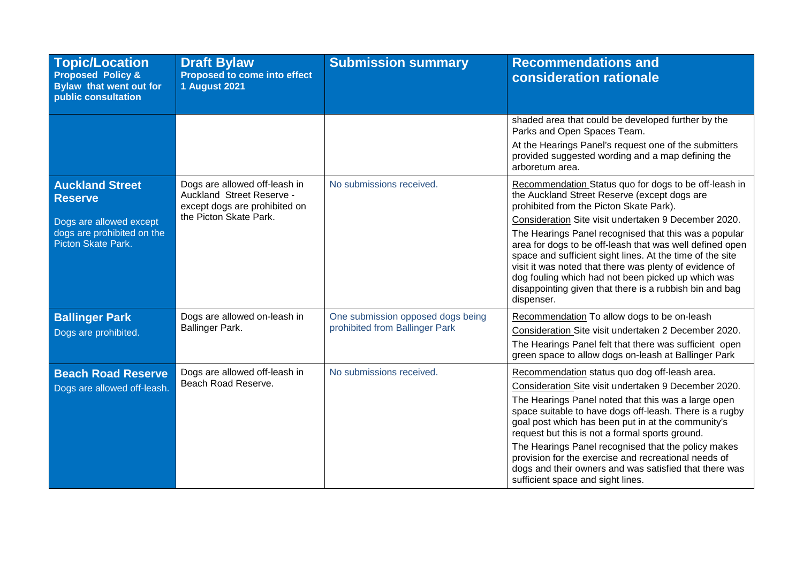| <b>Topic/Location</b><br><b>Proposed Policy &amp;</b><br><b>Bylaw that went out for</b><br>public consultation          | <b>Draft Bylaw</b><br>Proposed to come into effect<br><b>1 August 2021</b>                                            | <b>Submission summary</b>                                           | <b>Recommendations and</b><br>consideration rationale                                                                                                                                                                                                                                                                                                                                                                                                                                                                                                                                |
|-------------------------------------------------------------------------------------------------------------------------|-----------------------------------------------------------------------------------------------------------------------|---------------------------------------------------------------------|--------------------------------------------------------------------------------------------------------------------------------------------------------------------------------------------------------------------------------------------------------------------------------------------------------------------------------------------------------------------------------------------------------------------------------------------------------------------------------------------------------------------------------------------------------------------------------------|
|                                                                                                                         |                                                                                                                       |                                                                     | shaded area that could be developed further by the<br>Parks and Open Spaces Team.<br>At the Hearings Panel's request one of the submitters<br>provided suggested wording and a map defining the<br>arboretum area.                                                                                                                                                                                                                                                                                                                                                                   |
| <b>Auckland Street</b><br><b>Reserve</b><br>Dogs are allowed except<br>dogs are prohibited on the<br>Picton Skate Park. | Dogs are allowed off-leash in<br>Auckland Street Reserve -<br>except dogs are prohibited on<br>the Picton Skate Park. | No submissions received.                                            | Recommendation Status quo for dogs to be off-leash in<br>the Auckland Street Reserve (except dogs are<br>prohibited from the Picton Skate Park).<br>Consideration Site visit undertaken 9 December 2020.<br>The Hearings Panel recognised that this was a popular<br>area for dogs to be off-leash that was well defined open<br>space and sufficient sight lines. At the time of the site<br>visit it was noted that there was plenty of evidence of<br>dog fouling which had not been picked up which was<br>disappointing given that there is a rubbish bin and bag<br>dispenser. |
| <b>Ballinger Park</b><br>Dogs are prohibited.                                                                           | Dogs are allowed on-leash in<br>Ballinger Park.                                                                       | One submission opposed dogs being<br>prohibited from Ballinger Park | Recommendation To allow dogs to be on-leash<br>Consideration Site visit undertaken 2 December 2020.<br>The Hearings Panel felt that there was sufficient open<br>green space to allow dogs on-leash at Ballinger Park                                                                                                                                                                                                                                                                                                                                                                |
| <b>Beach Road Reserve</b><br>Dogs are allowed off-leash.                                                                | Dogs are allowed off-leash in<br>Beach Road Reserve.                                                                  | No submissions received.                                            | Recommendation status quo dog off-leash area.<br>Consideration Site visit undertaken 9 December 2020.<br>The Hearings Panel noted that this was a large open<br>space suitable to have dogs off-leash. There is a rugby<br>goal post which has been put in at the community's<br>request but this is not a formal sports ground.<br>The Hearings Panel recognised that the policy makes<br>provision for the exercise and recreational needs of<br>dogs and their owners and was satisfied that there was<br>sufficient space and sight lines.                                       |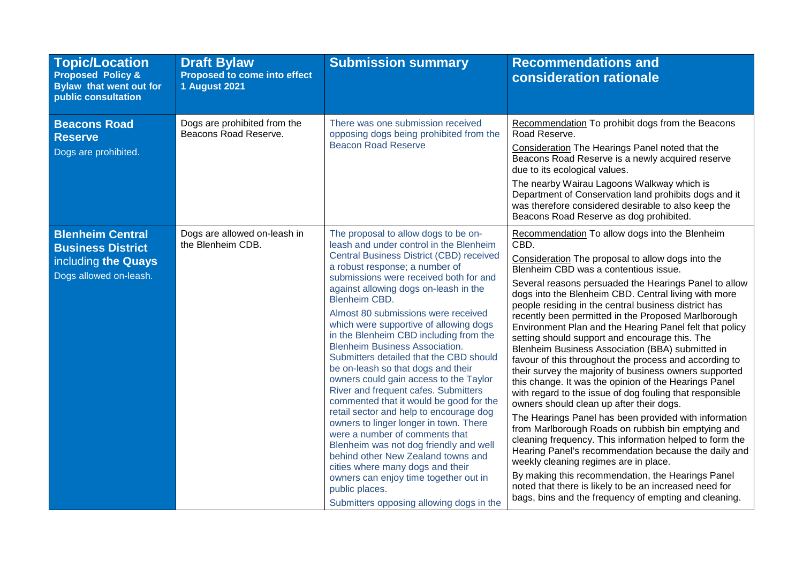| <b>Topic/Location</b><br><b>Proposed Policy &amp;</b><br>Bylaw that went out for<br>public consultation | <b>Draft Bylaw</b><br>Proposed to come into effect<br><b>1 August 2021</b> | <b>Submission summary</b>                                                                                                                                                                                                                                                                                                                                                                                                                                                                                                                                                                                                                                                                                                                                                                                                                                                                                                                                                                                    | <b>Recommendations and</b><br>consideration rationale                                                                                                                                                                                                                                                                                                                                                                                                                                                                                                                                                                                                                                                                                                                                                                                                                                                                                                                                                                                                                                                                                                                                                                                                                                         |
|---------------------------------------------------------------------------------------------------------|----------------------------------------------------------------------------|--------------------------------------------------------------------------------------------------------------------------------------------------------------------------------------------------------------------------------------------------------------------------------------------------------------------------------------------------------------------------------------------------------------------------------------------------------------------------------------------------------------------------------------------------------------------------------------------------------------------------------------------------------------------------------------------------------------------------------------------------------------------------------------------------------------------------------------------------------------------------------------------------------------------------------------------------------------------------------------------------------------|-----------------------------------------------------------------------------------------------------------------------------------------------------------------------------------------------------------------------------------------------------------------------------------------------------------------------------------------------------------------------------------------------------------------------------------------------------------------------------------------------------------------------------------------------------------------------------------------------------------------------------------------------------------------------------------------------------------------------------------------------------------------------------------------------------------------------------------------------------------------------------------------------------------------------------------------------------------------------------------------------------------------------------------------------------------------------------------------------------------------------------------------------------------------------------------------------------------------------------------------------------------------------------------------------|
| <b>Beacons Road</b><br><b>Reserve</b><br>Dogs are prohibited.                                           | Dogs are prohibited from the<br>Beacons Road Reserve.                      | There was one submission received<br>opposing dogs being prohibited from the<br><b>Beacon Road Reserve</b>                                                                                                                                                                                                                                                                                                                                                                                                                                                                                                                                                                                                                                                                                                                                                                                                                                                                                                   | Recommendation To prohibit dogs from the Beacons<br>Road Reserve.<br>Consideration The Hearings Panel noted that the<br>Beacons Road Reserve is a newly acquired reserve<br>due to its ecological values.<br>The nearby Wairau Lagoons Walkway which is<br>Department of Conservation land prohibits dogs and it<br>was therefore considered desirable to also keep the<br>Beacons Road Reserve as dog prohibited.                                                                                                                                                                                                                                                                                                                                                                                                                                                                                                                                                                                                                                                                                                                                                                                                                                                                            |
| <b>Blenheim Central</b><br><b>Business District</b><br>including the Quays<br>Dogs allowed on-leash.    | Dogs are allowed on-leash in<br>the Blenheim CDB.                          | The proposal to allow dogs to be on-<br>leash and under control in the Blenheim<br>Central Business District (CBD) received<br>a robust response; a number of<br>submissions were received both for and<br>against allowing dogs on-leash in the<br><b>Blenheim CBD.</b><br>Almost 80 submissions were received<br>which were supportive of allowing dogs<br>in the Blenheim CBD including from the<br><b>Blenheim Business Association.</b><br>Submitters detailed that the CBD should<br>be on-leash so that dogs and their<br>owners could gain access to the Taylor<br>River and frequent cafes. Submitters<br>commented that it would be good for the<br>retail sector and help to encourage dog<br>owners to linger longer in town. There<br>were a number of comments that<br>Blenheim was not dog friendly and well<br>behind other New Zealand towns and<br>cities where many dogs and their<br>owners can enjoy time together out in<br>public places.<br>Submitters opposing allowing dogs in the | Recommendation To allow dogs into the Blenheim<br>CBD.<br>Consideration The proposal to allow dogs into the<br>Blenheim CBD was a contentious issue.<br>Several reasons persuaded the Hearings Panel to allow<br>dogs into the Blenheim CBD. Central living with more<br>people residing in the central business district has<br>recently been permitted in the Proposed Marlborough<br>Environment Plan and the Hearing Panel felt that policy<br>setting should support and encourage this. The<br>Blenheim Business Association (BBA) submitted in<br>favour of this throughout the process and according to<br>their survey the majority of business owners supported<br>this change. It was the opinion of the Hearings Panel<br>with regard to the issue of dog fouling that responsible<br>owners should clean up after their dogs.<br>The Hearings Panel has been provided with information<br>from Marlborough Roads on rubbish bin emptying and<br>cleaning frequency. This information helped to form the<br>Hearing Panel's recommendation because the daily and<br>weekly cleaning regimes are in place.<br>By making this recommendation, the Hearings Panel<br>noted that there is likely to be an increased need for<br>bags, bins and the frequency of empting and cleaning. |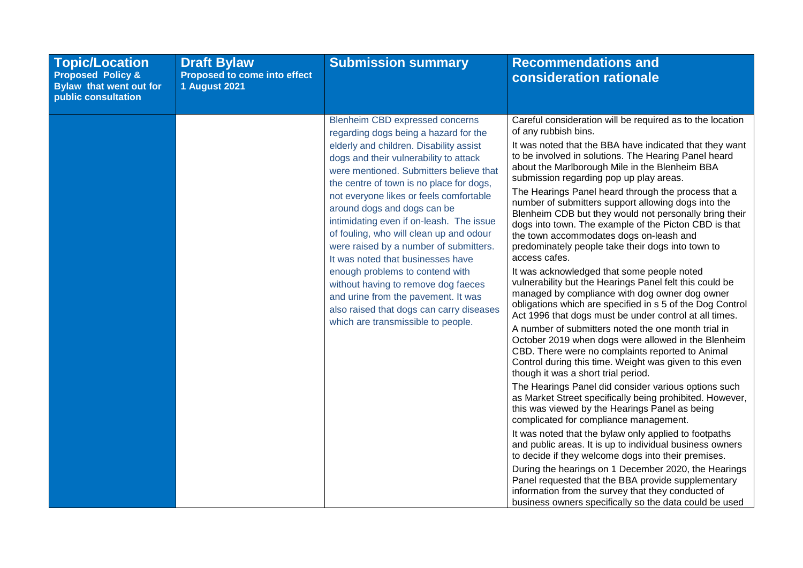| <b>Topic/Location</b><br><b>Proposed Policy &amp;</b><br><b>Bylaw that went out for</b><br>public consultation | <b>Draft Bylaw</b><br>Proposed to come into effect<br><b>1 August 2021</b> | <b>Submission summary</b>                                                                                                                                                                                                                                                                                                                                                                                                                                                                                                                                                                                                                                                                               | <b>Recommendations and</b><br>consideration rationale                                                                                                                                                                                                                                                                                                                                                                                                                                                                                                                                                                                                                                                                                                                                                                                                                                                                                                                                                                                                                                                                                                                                                                                                                                                                                                                                                                                                                                                                                                                                                                                                                                                                                                                                                                               |
|----------------------------------------------------------------------------------------------------------------|----------------------------------------------------------------------------|---------------------------------------------------------------------------------------------------------------------------------------------------------------------------------------------------------------------------------------------------------------------------------------------------------------------------------------------------------------------------------------------------------------------------------------------------------------------------------------------------------------------------------------------------------------------------------------------------------------------------------------------------------------------------------------------------------|-------------------------------------------------------------------------------------------------------------------------------------------------------------------------------------------------------------------------------------------------------------------------------------------------------------------------------------------------------------------------------------------------------------------------------------------------------------------------------------------------------------------------------------------------------------------------------------------------------------------------------------------------------------------------------------------------------------------------------------------------------------------------------------------------------------------------------------------------------------------------------------------------------------------------------------------------------------------------------------------------------------------------------------------------------------------------------------------------------------------------------------------------------------------------------------------------------------------------------------------------------------------------------------------------------------------------------------------------------------------------------------------------------------------------------------------------------------------------------------------------------------------------------------------------------------------------------------------------------------------------------------------------------------------------------------------------------------------------------------------------------------------------------------------------------------------------------------|
|                                                                                                                |                                                                            | Blenheim CBD expressed concerns<br>regarding dogs being a hazard for the<br>elderly and children. Disability assist<br>dogs and their vulnerability to attack<br>were mentioned. Submitters believe that<br>the centre of town is no place for dogs,<br>not everyone likes or feels comfortable<br>around dogs and dogs can be<br>intimidating even if on-leash. The issue<br>of fouling, who will clean up and odour<br>were raised by a number of submitters.<br>It was noted that businesses have<br>enough problems to contend with<br>without having to remove dog faeces<br>and urine from the pavement. It was<br>also raised that dogs can carry diseases<br>which are transmissible to people. | Careful consideration will be required as to the location<br>of any rubbish bins.<br>It was noted that the BBA have indicated that they want<br>to be involved in solutions. The Hearing Panel heard<br>about the Marlborough Mile in the Blenheim BBA<br>submission regarding pop up play areas.<br>The Hearings Panel heard through the process that a<br>number of submitters support allowing dogs into the<br>Blenheim CDB but they would not personally bring their<br>dogs into town. The example of the Picton CBD is that<br>the town accommodates dogs on-leash and<br>predominately people take their dogs into town to<br>access cafes.<br>It was acknowledged that some people noted<br>vulnerability but the Hearings Panel felt this could be<br>managed by compliance with dog owner dog owner<br>obligations which are specified in s 5 of the Dog Control<br>Act 1996 that dogs must be under control at all times.<br>A number of submitters noted the one month trial in<br>October 2019 when dogs were allowed in the Blenheim<br>CBD. There were no complaints reported to Animal<br>Control during this time. Weight was given to this even<br>though it was a short trial period.<br>The Hearings Panel did consider various options such<br>as Market Street specifically being prohibited. However,<br>this was viewed by the Hearings Panel as being<br>complicated for compliance management.<br>It was noted that the bylaw only applied to footpaths<br>and public areas. It is up to individual business owners<br>to decide if they welcome dogs into their premises.<br>During the hearings on 1 December 2020, the Hearings<br>Panel requested that the BBA provide supplementary<br>information from the survey that they conducted of<br>business owners specifically so the data could be used |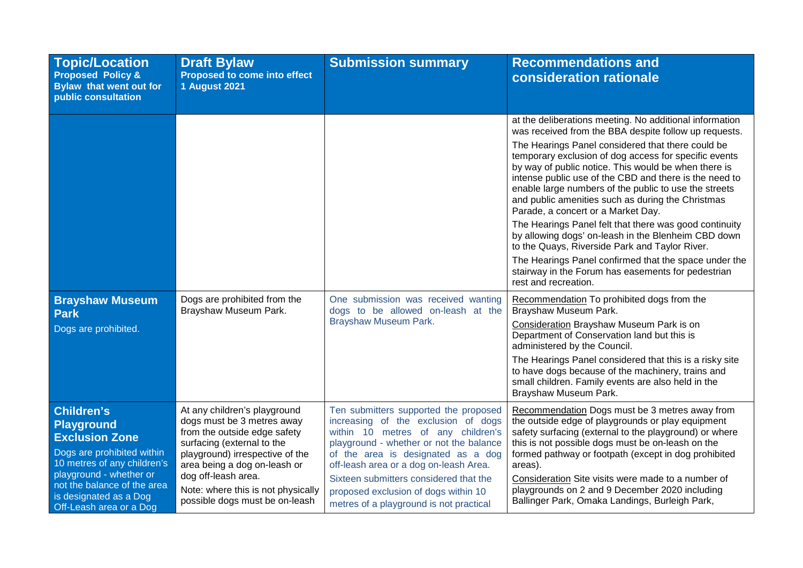| <b>Topic/Location</b><br><b>Proposed Policy &amp;</b><br>Bylaw that went out for<br>public consultation                                                                                                                              | <b>Draft Bylaw</b><br>Proposed to come into effect<br><b>1 August 2021</b>                                                                                                                                                                                                                 | <b>Submission summary</b>                                                                                                                                                                                                                                                                                                                                                  | <b>Recommendations and</b><br>consideration rationale                                                                                                                                                                                                                                                                                                                                                                                                                                                                                                                                                                                                                                                                                                                                                          |
|--------------------------------------------------------------------------------------------------------------------------------------------------------------------------------------------------------------------------------------|--------------------------------------------------------------------------------------------------------------------------------------------------------------------------------------------------------------------------------------------------------------------------------------------|----------------------------------------------------------------------------------------------------------------------------------------------------------------------------------------------------------------------------------------------------------------------------------------------------------------------------------------------------------------------------|----------------------------------------------------------------------------------------------------------------------------------------------------------------------------------------------------------------------------------------------------------------------------------------------------------------------------------------------------------------------------------------------------------------------------------------------------------------------------------------------------------------------------------------------------------------------------------------------------------------------------------------------------------------------------------------------------------------------------------------------------------------------------------------------------------------|
|                                                                                                                                                                                                                                      |                                                                                                                                                                                                                                                                                            |                                                                                                                                                                                                                                                                                                                                                                            | at the deliberations meeting. No additional information<br>was received from the BBA despite follow up requests.<br>The Hearings Panel considered that there could be<br>temporary exclusion of dog access for specific events<br>by way of public notice. This would be when there is<br>intense public use of the CBD and there is the need to<br>enable large numbers of the public to use the streets<br>and public amenities such as during the Christmas<br>Parade, a concert or a Market Day.<br>The Hearings Panel felt that there was good continuity<br>by allowing dogs' on-leash in the Blenheim CBD down<br>to the Quays, Riverside Park and Taylor River.<br>The Hearings Panel confirmed that the space under the<br>stairway in the Forum has easements for pedestrian<br>rest and recreation. |
| <b>Brayshaw Museum</b><br>Park<br>Dogs are prohibited.                                                                                                                                                                               | Dogs are prohibited from the<br>Brayshaw Museum Park.                                                                                                                                                                                                                                      | One submission was received wanting<br>dogs to be allowed on-leash at the<br>Brayshaw Museum Park.                                                                                                                                                                                                                                                                         | Recommendation To prohibited dogs from the<br>Brayshaw Museum Park.<br>Consideration Brayshaw Museum Park is on<br>Department of Conservation land but this is<br>administered by the Council.<br>The Hearings Panel considered that this is a risky site<br>to have dogs because of the machinery, trains and<br>small children. Family events are also held in the<br>Brayshaw Museum Park.                                                                                                                                                                                                                                                                                                                                                                                                                  |
| <b>Children's</b><br>Playground<br><b>Exclusion Zone</b><br>Dogs are prohibited within<br>10 metres of any children's<br>playground - whether or<br>not the balance of the area<br>is designated as a Dog<br>Off-Leash area or a Dog | At any children's playground<br>dogs must be 3 metres away<br>from the outside edge safety<br>surfacing (external to the<br>playground) irrespective of the<br>area being a dog on-leash or<br>dog off-leash area.<br>Note: where this is not physically<br>possible dogs must be on-leash | Ten submitters supported the proposed<br>increasing of the exclusion of dogs<br>within 10 metres of any children's<br>playground - whether or not the balance<br>of the area is designated as a dog<br>off-leash area or a dog on-leash Area.<br>Sixteen submitters considered that the<br>proposed exclusion of dogs within 10<br>metres of a playground is not practical | Recommendation Dogs must be 3 metres away from<br>the outside edge of playgrounds or play equipment<br>safety surfacing (external to the playground) or where<br>this is not possible dogs must be on-leash on the<br>formed pathway or footpath (except in dog prohibited<br>areas).<br>Consideration Site visits were made to a number of<br>playgrounds on 2 and 9 December 2020 including<br>Ballinger Park, Omaka Landings, Burleigh Park,                                                                                                                                                                                                                                                                                                                                                                |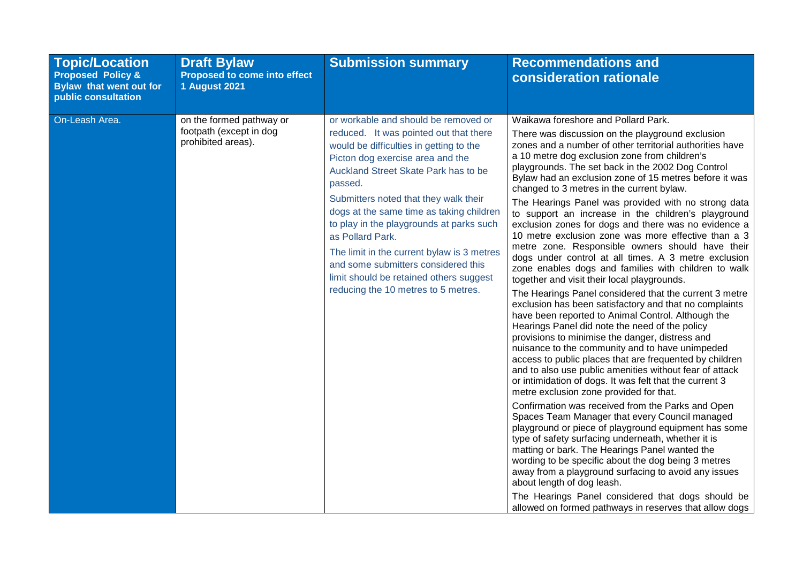| <b>Topic/Location</b><br><b>Proposed Policy &amp;</b><br><b>Bylaw that went out for</b><br>public consultation | <b>Draft Bylaw</b><br><b>Proposed to come into effect</b><br><b>1 August 2021</b> | <b>Submission summary</b>                                                                                                                                                                                                                                                                                                                                                                                                                                                                                                                    | <b>Recommendations and</b><br>consideration rationale                                                                                                                                                                                                                                                                                                                                                                                                                                                                                                                                                                                                                                                                                                                                                                                                                                                                                                                                                                                                                                                                                                                                                                                                                                                                                                                                                                                                                                                                                                                                                                                                                                                                                                                                                                                                                                                             |
|----------------------------------------------------------------------------------------------------------------|-----------------------------------------------------------------------------------|----------------------------------------------------------------------------------------------------------------------------------------------------------------------------------------------------------------------------------------------------------------------------------------------------------------------------------------------------------------------------------------------------------------------------------------------------------------------------------------------------------------------------------------------|-------------------------------------------------------------------------------------------------------------------------------------------------------------------------------------------------------------------------------------------------------------------------------------------------------------------------------------------------------------------------------------------------------------------------------------------------------------------------------------------------------------------------------------------------------------------------------------------------------------------------------------------------------------------------------------------------------------------------------------------------------------------------------------------------------------------------------------------------------------------------------------------------------------------------------------------------------------------------------------------------------------------------------------------------------------------------------------------------------------------------------------------------------------------------------------------------------------------------------------------------------------------------------------------------------------------------------------------------------------------------------------------------------------------------------------------------------------------------------------------------------------------------------------------------------------------------------------------------------------------------------------------------------------------------------------------------------------------------------------------------------------------------------------------------------------------------------------------------------------------------------------------------------------------|
| On-Leash Area.                                                                                                 | on the formed pathway or<br>footpath (except in dog<br>prohibited areas).         | or workable and should be removed or<br>reduced. It was pointed out that there<br>would be difficulties in getting to the<br>Picton dog exercise area and the<br>Auckland Street Skate Park has to be<br>passed.<br>Submitters noted that they walk their<br>dogs at the same time as taking children<br>to play in the playgrounds at parks such<br>as Pollard Park.<br>The limit in the current bylaw is 3 metres<br>and some submitters considered this<br>limit should be retained others suggest<br>reducing the 10 metres to 5 metres. | Waikawa foreshore and Pollard Park.<br>There was discussion on the playground exclusion<br>zones and a number of other territorial authorities have<br>a 10 metre dog exclusion zone from children's<br>playgrounds. The set back in the 2002 Dog Control<br>Bylaw had an exclusion zone of 15 metres before it was<br>changed to 3 metres in the current bylaw.<br>The Hearings Panel was provided with no strong data<br>to support an increase in the children's playground<br>exclusion zones for dogs and there was no evidence a<br>10 metre exclusion zone was more effective than a 3<br>metre zone. Responsible owners should have their<br>dogs under control at all times. A 3 metre exclusion<br>zone enables dogs and families with children to walk<br>together and visit their local playgrounds.<br>The Hearings Panel considered that the current 3 metre<br>exclusion has been satisfactory and that no complaints<br>have been reported to Animal Control. Although the<br>Hearings Panel did note the need of the policy<br>provisions to minimise the danger, distress and<br>nuisance to the community and to have unimpeded<br>access to public places that are frequented by children<br>and to also use public amenities without fear of attack<br>or intimidation of dogs. It was felt that the current 3<br>metre exclusion zone provided for that.<br>Confirmation was received from the Parks and Open<br>Spaces Team Manager that every Council managed<br>playground or piece of playground equipment has some<br>type of safety surfacing underneath, whether it is<br>matting or bark. The Hearings Panel wanted the<br>wording to be specific about the dog being 3 metres<br>away from a playground surfacing to avoid any issues<br>about length of dog leash.<br>The Hearings Panel considered that dogs should be<br>allowed on formed pathways in reserves that allow dogs |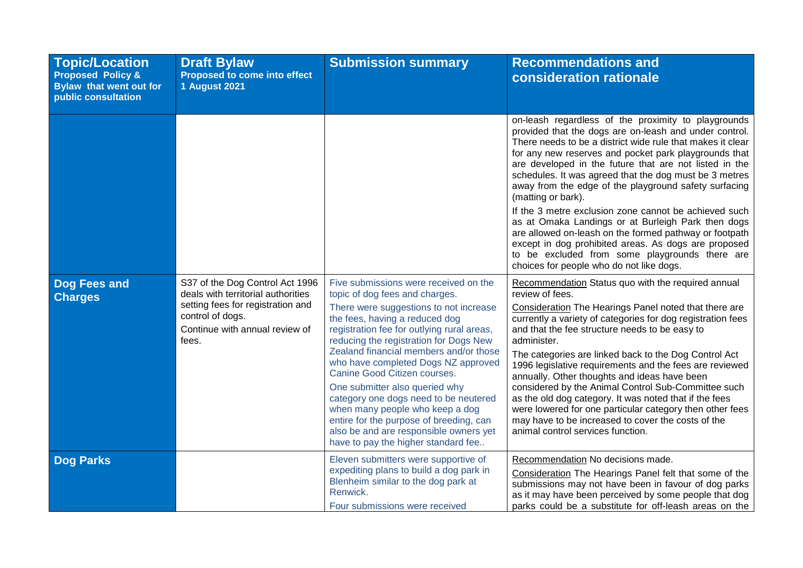| <b>Topic/Location</b><br><b>Proposed Policy &amp;</b><br><b>Bylaw that went out for</b><br>public consultation | <b>Draft Bylaw</b><br>Proposed to come into effect<br><b>1 August 2021</b>                                                                                                | <b>Submission summary</b>                                                                                                                                                                                                                                                                                                                                                                                                                                                                                                                                                                              | <b>Recommendations and</b><br>consideration rationale                                                                                                                                                                                                                                                                                                                                                                                                                                                                                                                                                                                                                                                                                                                  |
|----------------------------------------------------------------------------------------------------------------|---------------------------------------------------------------------------------------------------------------------------------------------------------------------------|--------------------------------------------------------------------------------------------------------------------------------------------------------------------------------------------------------------------------------------------------------------------------------------------------------------------------------------------------------------------------------------------------------------------------------------------------------------------------------------------------------------------------------------------------------------------------------------------------------|------------------------------------------------------------------------------------------------------------------------------------------------------------------------------------------------------------------------------------------------------------------------------------------------------------------------------------------------------------------------------------------------------------------------------------------------------------------------------------------------------------------------------------------------------------------------------------------------------------------------------------------------------------------------------------------------------------------------------------------------------------------------|
|                                                                                                                |                                                                                                                                                                           |                                                                                                                                                                                                                                                                                                                                                                                                                                                                                                                                                                                                        | on-leash regardless of the proximity to playgrounds<br>provided that the dogs are on-leash and under control.<br>There needs to be a district wide rule that makes it clear<br>for any new reserves and pocket park playgrounds that<br>are developed in the future that are not listed in the<br>schedules. It was agreed that the dog must be 3 metres<br>away from the edge of the playground safety surfacing<br>(matting or bark).<br>If the 3 metre exclusion zone cannot be achieved such<br>as at Omaka Landings or at Burleigh Park then dogs<br>are allowed on-leash on the formed pathway or footpath<br>except in dog prohibited areas. As dogs are proposed<br>to be excluded from some playgrounds there are<br>choices for people who do not like dogs. |
| Dog Fees and<br><b>Charges</b>                                                                                 | S37 of the Dog Control Act 1996<br>deals with territorial authorities<br>setting fees for registration and<br>control of dogs.<br>Continue with annual review of<br>fees. | Five submissions were received on the<br>topic of dog fees and charges.<br>There were suggestions to not increase<br>the fees, having a reduced dog<br>registration fee for outlying rural areas,<br>reducing the registration for Dogs New<br>Zealand financial members and/or those<br>who have completed Dogs NZ approved<br>Canine Good Citizen courses.<br>One submitter also queried why<br>category one dogs need to be neutered<br>when many people who keep a dog<br>entire for the purpose of breeding, can<br>also be and are responsible owners yet<br>have to pay the higher standard fee | Recommendation Status quo with the required annual<br>review of fees.<br>Consideration The Hearings Panel noted that there are<br>currently a variety of categories for dog registration fees<br>and that the fee structure needs to be easy to<br>administer.<br>The categories are linked back to the Dog Control Act<br>1996 legislative requirements and the fees are reviewed<br>annually. Other thoughts and ideas have been<br>considered by the Animal Control Sub-Committee such<br>as the old dog category. It was noted that if the fees<br>were lowered for one particular category then other fees<br>may have to be increased to cover the costs of the<br>animal control services function.                                                             |
| <b>Dog Parks</b>                                                                                               |                                                                                                                                                                           | Eleven submitters were supportive of<br>expediting plans to build a dog park in<br>Blenheim similar to the dog park at<br>Renwick.<br>Four submissions were received                                                                                                                                                                                                                                                                                                                                                                                                                                   | Recommendation No decisions made.<br>Consideration The Hearings Panel felt that some of the<br>submissions may not have been in favour of dog parks<br>as it may have been perceived by some people that dog<br>parks could be a substitute for off-leash areas on the                                                                                                                                                                                                                                                                                                                                                                                                                                                                                                 |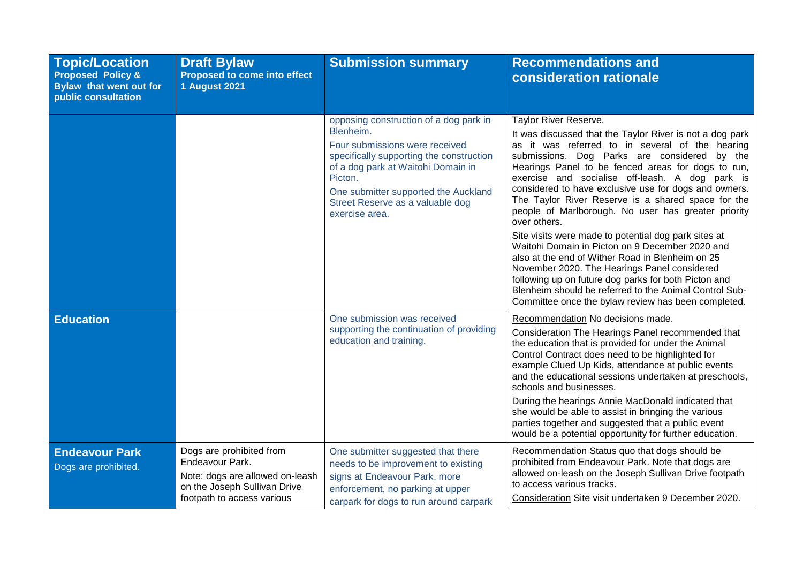| <b>Topic/Location</b><br><b>Proposed Policy &amp;</b><br>Bylaw that went out for<br>public consultation | <b>Draft Bylaw</b><br>Proposed to come into effect<br><b>1 August 2021</b>                                                                   | <b>Submission summary</b>                                                                                                                                                                                                                                                        | <b>Recommendations and</b><br><b>consideration rationale</b>                                                                                                                                                                                                                                                                                                                                                                                                                                                                                                                                                                                                                                                                                                                                                                                                                       |
|---------------------------------------------------------------------------------------------------------|----------------------------------------------------------------------------------------------------------------------------------------------|----------------------------------------------------------------------------------------------------------------------------------------------------------------------------------------------------------------------------------------------------------------------------------|------------------------------------------------------------------------------------------------------------------------------------------------------------------------------------------------------------------------------------------------------------------------------------------------------------------------------------------------------------------------------------------------------------------------------------------------------------------------------------------------------------------------------------------------------------------------------------------------------------------------------------------------------------------------------------------------------------------------------------------------------------------------------------------------------------------------------------------------------------------------------------|
|                                                                                                         |                                                                                                                                              | opposing construction of a dog park in<br>Blenheim.<br>Four submissions were received<br>specifically supporting the construction<br>of a dog park at Waitohi Domain in<br>Picton.<br>One submitter supported the Auckland<br>Street Reserve as a valuable dog<br>exercise area. | <b>Taylor River Reserve.</b><br>It was discussed that the Taylor River is not a dog park<br>as it was referred to in several of the hearing<br>submissions. Dog Parks are considered by the<br>Hearings Panel to be fenced areas for dogs to run,<br>exercise and socialise off-leash. A dog park is<br>considered to have exclusive use for dogs and owners.<br>The Taylor River Reserve is a shared space for the<br>people of Marlborough. No user has greater priority<br>over others.<br>Site visits were made to potential dog park sites at<br>Waitohi Domain in Picton on 9 December 2020 and<br>also at the end of Wither Road in Blenheim on 25<br>November 2020. The Hearings Panel considered<br>following up on future dog parks for both Picton and<br>Blenheim should be referred to the Animal Control Sub-<br>Committee once the bylaw review has been completed. |
| <b>Education</b>                                                                                        |                                                                                                                                              | One submission was received<br>supporting the continuation of providing<br>education and training.                                                                                                                                                                               | Recommendation No decisions made.<br>Consideration The Hearings Panel recommended that<br>the education that is provided for under the Animal<br>Control Contract does need to be highlighted for<br>example Clued Up Kids, attendance at public events<br>and the educational sessions undertaken at preschools,<br>schools and businesses.<br>During the hearings Annie MacDonald indicated that<br>she would be able to assist in bringing the various<br>parties together and suggested that a public event<br>would be a potential opportunity for further education.                                                                                                                                                                                                                                                                                                         |
| <b>Endeavour Park</b><br>Dogs are prohibited.                                                           | Dogs are prohibited from<br>Endeavour Park.<br>Note: dogs are allowed on-leash<br>on the Joseph Sullivan Drive<br>footpath to access various | One submitter suggested that there<br>needs to be improvement to existing<br>signs at Endeavour Park, more<br>enforcement, no parking at upper<br>carpark for dogs to run around carpark                                                                                         | Recommendation Status quo that dogs should be<br>prohibited from Endeavour Park. Note that dogs are<br>allowed on-leash on the Joseph Sullivan Drive footpath<br>to access various tracks.<br>Consideration Site visit undertaken 9 December 2020.                                                                                                                                                                                                                                                                                                                                                                                                                                                                                                                                                                                                                                 |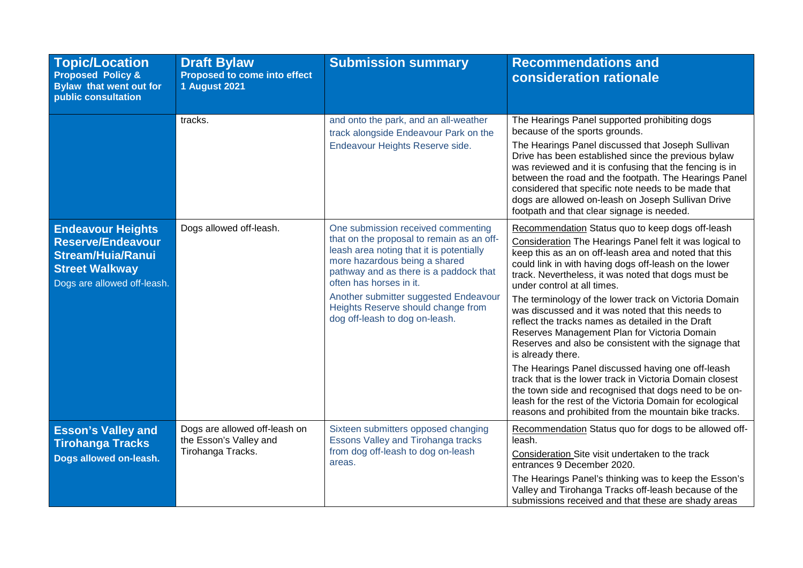| <b>Topic/Location</b><br><b>Proposed Policy &amp;</b><br><b>Bylaw that went out for</b><br>public consultation                           | <b>Draft Bylaw</b><br>Proposed to come into effect<br><b>1 August 2021</b>   | <b>Submission summary</b>                                                                                                                                                                                                                                                                                                                          | <b>Recommendations and</b><br>consideration rationale                                                                                                                                                                                                                                                                                                                                                                                                                                                                                                                                                                                                                                                                                                                                                                                                                                                               |
|------------------------------------------------------------------------------------------------------------------------------------------|------------------------------------------------------------------------------|----------------------------------------------------------------------------------------------------------------------------------------------------------------------------------------------------------------------------------------------------------------------------------------------------------------------------------------------------|---------------------------------------------------------------------------------------------------------------------------------------------------------------------------------------------------------------------------------------------------------------------------------------------------------------------------------------------------------------------------------------------------------------------------------------------------------------------------------------------------------------------------------------------------------------------------------------------------------------------------------------------------------------------------------------------------------------------------------------------------------------------------------------------------------------------------------------------------------------------------------------------------------------------|
|                                                                                                                                          | tracks.                                                                      | and onto the park, and an all-weather<br>track alongside Endeavour Park on the<br>Endeavour Heights Reserve side.                                                                                                                                                                                                                                  | The Hearings Panel supported prohibiting dogs<br>because of the sports grounds.<br>The Hearings Panel discussed that Joseph Sullivan<br>Drive has been established since the previous bylaw<br>was reviewed and it is confusing that the fencing is in<br>between the road and the footpath. The Hearings Panel<br>considered that specific note needs to be made that<br>dogs are allowed on-leash on Joseph Sullivan Drive<br>footpath and that clear signage is needed.                                                                                                                                                                                                                                                                                                                                                                                                                                          |
| <b>Endeavour Heights</b><br><b>Reserve/Endeavour</b><br><b>Stream/Huia/Ranui</b><br><b>Street Walkway</b><br>Dogs are allowed off-leash. | Dogs allowed off-leash.                                                      | One submission received commenting<br>that on the proposal to remain as an off-<br>leash area noting that it is potentially<br>more hazardous being a shared<br>pathway and as there is a paddock that<br>often has horses in it.<br>Another submitter suggested Endeavour<br>Heights Reserve should change from<br>dog off-leash to dog on-leash. | Recommendation Status quo to keep dogs off-leash<br>Consideration The Hearings Panel felt it was logical to<br>keep this as an on off-leash area and noted that this<br>could link in with having dogs off-leash on the lower<br>track. Nevertheless, it was noted that dogs must be<br>under control at all times.<br>The terminology of the lower track on Victoria Domain<br>was discussed and it was noted that this needs to<br>reflect the tracks names as detailed in the Draft<br>Reserves Management Plan for Victoria Domain<br>Reserves and also be consistent with the signage that<br>is already there.<br>The Hearings Panel discussed having one off-leash<br>track that is the lower track in Victoria Domain closest<br>the town side and recognised that dogs need to be on-<br>leash for the rest of the Victoria Domain for ecological<br>reasons and prohibited from the mountain bike tracks. |
| <b>Esson's Valley and</b><br><b>Tirohanga Tracks</b><br>Dogs allowed on-leash.                                                           | Dogs are allowed off-leash on<br>the Esson's Valley and<br>Tirohanga Tracks. | Sixteen submitters opposed changing<br><b>Essons Valley and Tirohanga tracks</b><br>from dog off-leash to dog on-leash<br>areas.                                                                                                                                                                                                                   | Recommendation Status quo for dogs to be allowed off-<br>leash.<br>Consideration Site visit undertaken to the track<br>entrances 9 December 2020.<br>The Hearings Panel's thinking was to keep the Esson's<br>Valley and Tirohanga Tracks off-leash because of the<br>submissions received and that these are shady areas                                                                                                                                                                                                                                                                                                                                                                                                                                                                                                                                                                                           |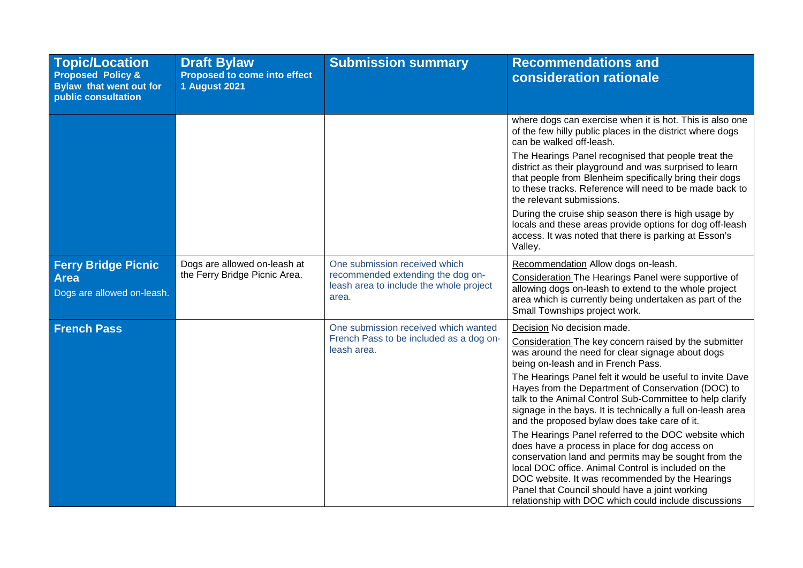| <b>Topic/Location</b><br><b>Proposed Policy &amp;</b><br>Bylaw that went out for<br>public consultation | <b>Draft Bylaw</b><br>Proposed to come into effect<br><b>1 August 2021</b> | <b>Submission summary</b>                                                                                              | <b>Recommendations and</b><br>consideration rationale                                                                                                                                                                                                                                                                                                                                                                                                                                                                                                                                                                                                                                                                                                                                                                                                              |
|---------------------------------------------------------------------------------------------------------|----------------------------------------------------------------------------|------------------------------------------------------------------------------------------------------------------------|--------------------------------------------------------------------------------------------------------------------------------------------------------------------------------------------------------------------------------------------------------------------------------------------------------------------------------------------------------------------------------------------------------------------------------------------------------------------------------------------------------------------------------------------------------------------------------------------------------------------------------------------------------------------------------------------------------------------------------------------------------------------------------------------------------------------------------------------------------------------|
|                                                                                                         |                                                                            |                                                                                                                        | where dogs can exercise when it is hot. This is also one<br>of the few hilly public places in the district where dogs<br>can be walked off-leash.                                                                                                                                                                                                                                                                                                                                                                                                                                                                                                                                                                                                                                                                                                                  |
|                                                                                                         |                                                                            |                                                                                                                        | The Hearings Panel recognised that people treat the<br>district as their playground and was surprised to learn<br>that people from Blenheim specifically bring their dogs<br>to these tracks. Reference will need to be made back to<br>the relevant submissions.                                                                                                                                                                                                                                                                                                                                                                                                                                                                                                                                                                                                  |
|                                                                                                         |                                                                            |                                                                                                                        | During the cruise ship season there is high usage by<br>locals and these areas provide options for dog off-leash<br>access. It was noted that there is parking at Esson's<br>Valley.                                                                                                                                                                                                                                                                                                                                                                                                                                                                                                                                                                                                                                                                               |
| <b>Ferry Bridge Picnic</b><br><b>Area</b><br>Dogs are allowed on-leash.                                 | Dogs are allowed on-leash at<br>the Ferry Bridge Picnic Area.              | One submission received which<br>recommended extending the dog on-<br>leash area to include the whole project<br>area. | Recommendation Allow dogs on-leash.<br>Consideration The Hearings Panel were supportive of<br>allowing dogs on-leash to extend to the whole project<br>area which is currently being undertaken as part of the<br>Small Townships project work.                                                                                                                                                                                                                                                                                                                                                                                                                                                                                                                                                                                                                    |
| <b>French Pass</b>                                                                                      |                                                                            | One submission received which wanted<br>French Pass to be included as a dog on-<br>leash area.                         | Decision No decision made.<br>Consideration The key concern raised by the submitter<br>was around the need for clear signage about dogs<br>being on-leash and in French Pass.<br>The Hearings Panel felt it would be useful to invite Dave<br>Hayes from the Department of Conservation (DOC) to<br>talk to the Animal Control Sub-Committee to help clarify<br>signage in the bays. It is technically a full on-leash area<br>and the proposed bylaw does take care of it.<br>The Hearings Panel referred to the DOC website which<br>does have a process in place for dog access on<br>conservation land and permits may be sought from the<br>local DOC office. Animal Control is included on the<br>DOC website. It was recommended by the Hearings<br>Panel that Council should have a joint working<br>relationship with DOC which could include discussions |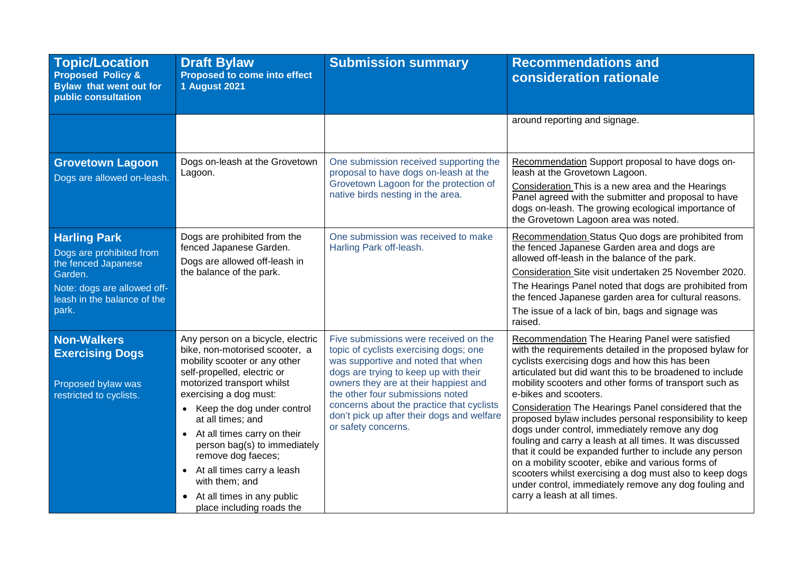| <b>Topic/Location</b><br><b>Proposed Policy &amp;</b><br><b>Bylaw that went out for</b><br>public consultation                                           | <b>Draft Bylaw</b><br>Proposed to come into effect<br><b>1 August 2021</b>                                                                                                                                                                                                                                                                                                                                                                                                              | <b>Submission summary</b>                                                                                                                                                                                                                                                                                                                                     | <b>Recommendations and</b><br>consideration rationale                                                                                                                                                                                                                                                                                                                                                                                                                                                                                                                                                                                                                                                                                                                                                            |
|----------------------------------------------------------------------------------------------------------------------------------------------------------|-----------------------------------------------------------------------------------------------------------------------------------------------------------------------------------------------------------------------------------------------------------------------------------------------------------------------------------------------------------------------------------------------------------------------------------------------------------------------------------------|---------------------------------------------------------------------------------------------------------------------------------------------------------------------------------------------------------------------------------------------------------------------------------------------------------------------------------------------------------------|------------------------------------------------------------------------------------------------------------------------------------------------------------------------------------------------------------------------------------------------------------------------------------------------------------------------------------------------------------------------------------------------------------------------------------------------------------------------------------------------------------------------------------------------------------------------------------------------------------------------------------------------------------------------------------------------------------------------------------------------------------------------------------------------------------------|
|                                                                                                                                                          |                                                                                                                                                                                                                                                                                                                                                                                                                                                                                         |                                                                                                                                                                                                                                                                                                                                                               | around reporting and signage.                                                                                                                                                                                                                                                                                                                                                                                                                                                                                                                                                                                                                                                                                                                                                                                    |
| <b>Grovetown Lagoon</b><br>Dogs are allowed on-leash.                                                                                                    | Dogs on-leash at the Grovetown<br>Lagoon.                                                                                                                                                                                                                                                                                                                                                                                                                                               | One submission received supporting the<br>proposal to have dogs on-leash at the<br>Grovetown Lagoon for the protection of<br>native birds nesting in the area.                                                                                                                                                                                                | Recommendation Support proposal to have dogs on-<br>leash at the Grovetown Lagoon.<br>Consideration This is a new area and the Hearings<br>Panel agreed with the submitter and proposal to have<br>dogs on-leash. The growing ecological importance of<br>the Grovetown Lagoon area was noted.                                                                                                                                                                                                                                                                                                                                                                                                                                                                                                                   |
| <b>Harling Park</b><br>Dogs are prohibited from<br>the fenced Japanese<br>Garden.<br>Note: dogs are allowed off-<br>leash in the balance of the<br>park. | Dogs are prohibited from the<br>fenced Japanese Garden.<br>Dogs are allowed off-leash in<br>the balance of the park.                                                                                                                                                                                                                                                                                                                                                                    | One submission was received to make<br>Harling Park off-leash.                                                                                                                                                                                                                                                                                                | Recommendation Status Quo dogs are prohibited from<br>the fenced Japanese Garden area and dogs are<br>allowed off-leash in the balance of the park.<br>Consideration Site visit undertaken 25 November 2020.<br>The Hearings Panel noted that dogs are prohibited from<br>the fenced Japanese garden area for cultural reasons.<br>The issue of a lack of bin, bags and signage was<br>raised.                                                                                                                                                                                                                                                                                                                                                                                                                   |
| <b>Non-Walkers</b><br><b>Exercising Dogs</b><br>Proposed bylaw was<br>restricted to cyclists.                                                            | Any person on a bicycle, electric<br>bike, non-motorised scooter, a<br>mobility scooter or any other<br>self-propelled, electric or<br>motorized transport whilst<br>exercising a dog must:<br>Keep the dog under control<br>$\bullet$<br>at all times; and<br>At all times carry on their<br>$\bullet$<br>person bag(s) to immediately<br>remove dog faeces;<br>At all times carry a leash<br>$\bullet$<br>with them; and<br>• At all times in any public<br>place including roads the | Five submissions were received on the<br>topic of cyclists exercising dogs; one<br>was supportive and noted that when<br>dogs are trying to keep up with their<br>owners they are at their happiest and<br>the other four submissions noted<br>concerns about the practice that cyclists<br>don't pick up after their dogs and welfare<br>or safety concerns. | Recommendation The Hearing Panel were satisfied<br>with the requirements detailed in the proposed bylaw for<br>cyclists exercising dogs and how this has been<br>articulated but did want this to be broadened to include<br>mobility scooters and other forms of transport such as<br>e-bikes and scooters.<br>Consideration The Hearings Panel considered that the<br>proposed bylaw includes personal responsibility to keep<br>dogs under control, immediately remove any dog<br>fouling and carry a leash at all times. It was discussed<br>that it could be expanded further to include any person<br>on a mobility scooter, ebike and various forms of<br>scooters whilst exercising a dog must also to keep dogs<br>under control, immediately remove any dog fouling and<br>carry a leash at all times. |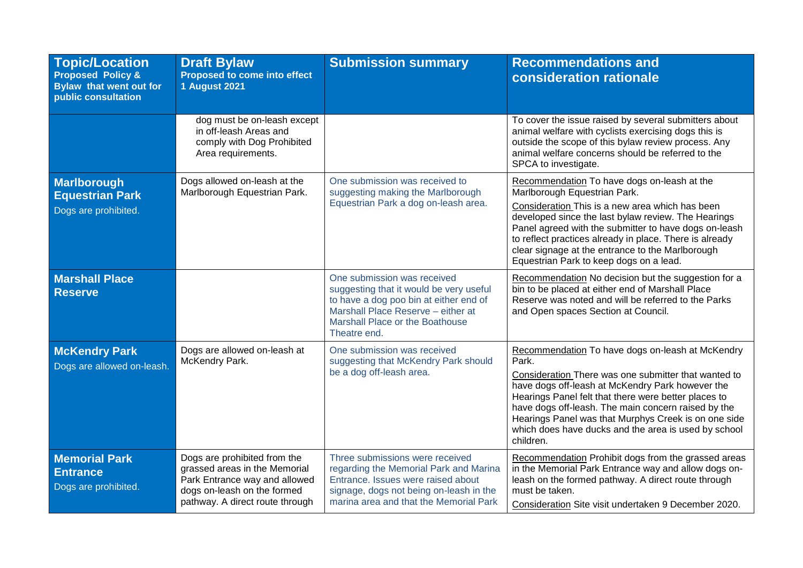| <b>Topic/Location</b><br><b>Proposed Policy &amp;</b><br><b>Bylaw that went out for</b><br>public consultation | <b>Draft Bylaw</b><br>Proposed to come into effect<br><b>1 August 2021</b>                                                                                       | <b>Submission summary</b>                                                                                                                                                                                 | <b>Recommendations and</b><br>consideration rationale                                                                                                                                                                                                                                                                                                                                                             |
|----------------------------------------------------------------------------------------------------------------|------------------------------------------------------------------------------------------------------------------------------------------------------------------|-----------------------------------------------------------------------------------------------------------------------------------------------------------------------------------------------------------|-------------------------------------------------------------------------------------------------------------------------------------------------------------------------------------------------------------------------------------------------------------------------------------------------------------------------------------------------------------------------------------------------------------------|
|                                                                                                                | dog must be on-leash except<br>in off-leash Areas and<br>comply with Dog Prohibited<br>Area requirements.                                                        |                                                                                                                                                                                                           | To cover the issue raised by several submitters about<br>animal welfare with cyclists exercising dogs this is<br>outside the scope of this bylaw review process. Any<br>animal welfare concerns should be referred to the<br>SPCA to investigate.                                                                                                                                                                 |
| Marlborough<br><b>Equestrian Park</b><br>Dogs are prohibited.                                                  | Dogs allowed on-leash at the<br>Marlborough Equestrian Park.                                                                                                     | One submission was received to<br>suggesting making the Marlborough<br>Equestrian Park a dog on-leash area.                                                                                               | Recommendation To have dogs on-leash at the<br>Marlborough Equestrian Park.<br>Consideration This is a new area which has been<br>developed since the last bylaw review. The Hearings<br>Panel agreed with the submitter to have dogs on-leash<br>to reflect practices already in place. There is already<br>clear signage at the entrance to the Marlborough<br>Equestrian Park to keep dogs on a lead.          |
| <b>Marshall Place</b><br><b>Reserve</b>                                                                        |                                                                                                                                                                  | One submission was received<br>suggesting that it would be very useful<br>to have a dog poo bin at either end of<br>Marshall Place Reserve - either at<br>Marshall Place or the Boathouse<br>Theatre end. | Recommendation No decision but the suggestion for a<br>bin to be placed at either end of Marshall Place<br>Reserve was noted and will be referred to the Parks<br>and Open spaces Section at Council.                                                                                                                                                                                                             |
| <b>McKendry Park</b><br>Dogs are allowed on-leash.                                                             | Dogs are allowed on-leash at<br>McKendry Park.                                                                                                                   | One submission was received<br>suggesting that McKendry Park should<br>be a dog off-leash area.                                                                                                           | Recommendation To have dogs on-leash at McKendry<br>Park.<br>Consideration There was one submitter that wanted to<br>have dogs off-leash at McKendry Park however the<br>Hearings Panel felt that there were better places to<br>have dogs off-leash. The main concern raised by the<br>Hearings Panel was that Murphys Creek is on one side<br>which does have ducks and the area is used by school<br>children. |
| <b>Memorial Park</b><br><b>Entrance</b><br>Dogs are prohibited.                                                | Dogs are prohibited from the<br>grassed areas in the Memorial<br>Park Entrance way and allowed<br>dogs on-leash on the formed<br>pathway. A direct route through | Three submissions were received<br>regarding the Memorial Park and Marina<br>Entrance, Issues were raised about<br>signage, dogs not being on-leash in the<br>marina area and that the Memorial Park      | Recommendation Prohibit dogs from the grassed areas<br>in the Memorial Park Entrance way and allow dogs on-<br>leash on the formed pathway. A direct route through<br>must be taken.<br>Consideration Site visit undertaken 9 December 2020.                                                                                                                                                                      |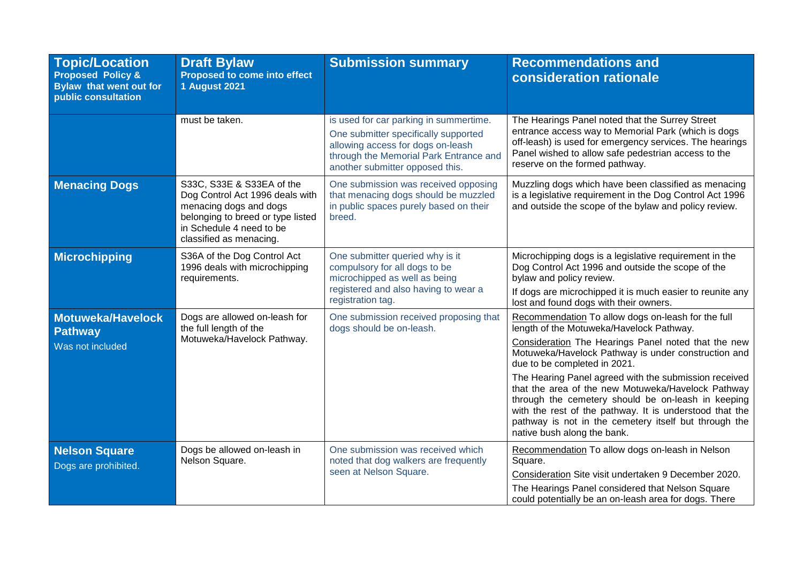| <b>Topic/Location</b><br><b>Proposed Policy &amp;</b><br><b>Bylaw that went out for</b><br>public consultation | <b>Draft Bylaw</b><br><b>Proposed to come into effect</b><br><b>1 August 2021</b>                                                                                                  | <b>Submission summary</b>                                                                                                                                                                        | <b>Recommendations and</b><br>consideration rationale                                                                                                                                                                                                                                                                                                                                                                                                                                                                                                                |
|----------------------------------------------------------------------------------------------------------------|------------------------------------------------------------------------------------------------------------------------------------------------------------------------------------|--------------------------------------------------------------------------------------------------------------------------------------------------------------------------------------------------|----------------------------------------------------------------------------------------------------------------------------------------------------------------------------------------------------------------------------------------------------------------------------------------------------------------------------------------------------------------------------------------------------------------------------------------------------------------------------------------------------------------------------------------------------------------------|
|                                                                                                                | must be taken.                                                                                                                                                                     | is used for car parking in summertime.<br>One submitter specifically supported<br>allowing access for dogs on-leash<br>through the Memorial Park Entrance and<br>another submitter opposed this. | The Hearings Panel noted that the Surrey Street<br>entrance access way to Memorial Park (which is dogs<br>off-leash) is used for emergency services. The hearings<br>Panel wished to allow safe pedestrian access to the<br>reserve on the formed pathway.                                                                                                                                                                                                                                                                                                           |
| <b>Menacing Dogs</b>                                                                                           | S33C, S33E & S33EA of the<br>Dog Control Act 1996 deals with<br>menacing dogs and dogs<br>belonging to breed or type listed<br>in Schedule 4 need to be<br>classified as menacing. | One submission was received opposing<br>that menacing dogs should be muzzled<br>in public spaces purely based on their<br>breed.                                                                 | Muzzling dogs which have been classified as menacing<br>is a legislative requirement in the Dog Control Act 1996<br>and outside the scope of the bylaw and policy review.                                                                                                                                                                                                                                                                                                                                                                                            |
| <b>Microchipping</b>                                                                                           | S36A of the Dog Control Act<br>1996 deals with microchipping<br>requirements.                                                                                                      | One submitter queried why is it<br>compulsory for all dogs to be<br>microchipped as well as being<br>registered and also having to wear a<br>registration tag.                                   | Microchipping dogs is a legislative requirement in the<br>Dog Control Act 1996 and outside the scope of the<br>bylaw and policy review.<br>If dogs are microchipped it is much easier to reunite any<br>lost and found dogs with their owners.                                                                                                                                                                                                                                                                                                                       |
| <b>Motuweka/Havelock</b><br>Pathway<br>Was not included                                                        | Dogs are allowed on-leash for<br>the full length of the<br>Motuweka/Havelock Pathway.                                                                                              | One submission received proposing that<br>dogs should be on-leash.                                                                                                                               | Recommendation To allow dogs on-leash for the full<br>length of the Motuweka/Havelock Pathway.<br>Consideration The Hearings Panel noted that the new<br>Motuweka/Havelock Pathway is under construction and<br>due to be completed in 2021.<br>The Hearing Panel agreed with the submission received<br>that the area of the new Motuweka/Havelock Pathway<br>through the cemetery should be on-leash in keeping<br>with the rest of the pathway. It is understood that the<br>pathway is not in the cemetery itself but through the<br>native bush along the bank. |
| <b>Nelson Square</b><br>Dogs are prohibited.                                                                   | Dogs be allowed on-leash in<br>Nelson Square.                                                                                                                                      | One submission was received which<br>noted that dog walkers are frequently<br>seen at Nelson Square.                                                                                             | Recommendation To allow dogs on-leash in Nelson<br>Square.<br>Consideration Site visit undertaken 9 December 2020.<br>The Hearings Panel considered that Nelson Square<br>could potentially be an on-leash area for dogs. There                                                                                                                                                                                                                                                                                                                                      |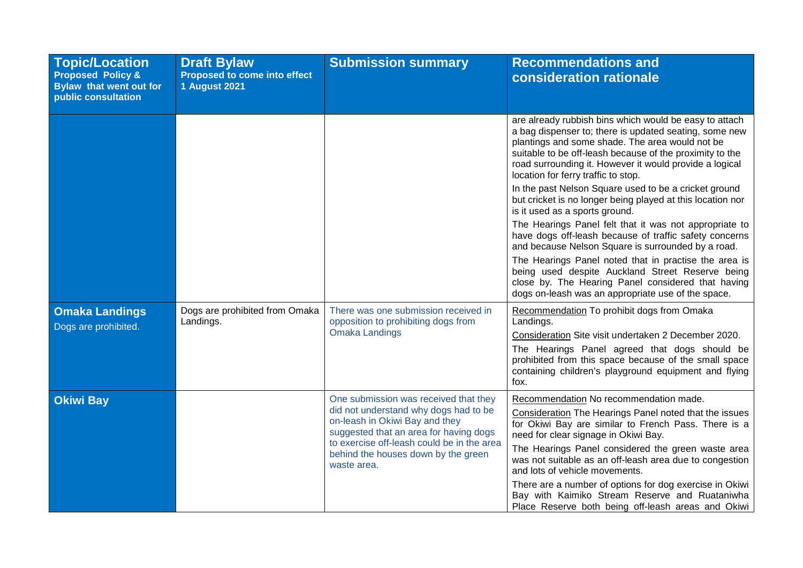| <b>Topic/Location</b><br><b>Proposed Policy &amp;</b><br><b>Bylaw that went out for</b><br>public consultation | <b>Draft Bylaw</b><br>Proposed to come into effect<br><b>1 August 2021</b> | <b>Submission summary</b>                                                                                                                                                                                                                                      | <b>Recommendations and</b><br>consideration rationale                                                                                                                                                                                                                                                                                                                                                          |
|----------------------------------------------------------------------------------------------------------------|----------------------------------------------------------------------------|----------------------------------------------------------------------------------------------------------------------------------------------------------------------------------------------------------------------------------------------------------------|----------------------------------------------------------------------------------------------------------------------------------------------------------------------------------------------------------------------------------------------------------------------------------------------------------------------------------------------------------------------------------------------------------------|
|                                                                                                                |                                                                            |                                                                                                                                                                                                                                                                | are already rubbish bins which would be easy to attach<br>a bag dispenser to; there is updated seating, some new<br>plantings and some shade. The area would not be<br>suitable to be off-leash because of the proximity to the<br>road surrounding it. However it would provide a logical<br>location for ferry traffic to stop.                                                                              |
|                                                                                                                |                                                                            |                                                                                                                                                                                                                                                                | In the past Nelson Square used to be a cricket ground<br>but cricket is no longer being played at this location nor<br>is it used as a sports ground.                                                                                                                                                                                                                                                          |
|                                                                                                                |                                                                            |                                                                                                                                                                                                                                                                | The Hearings Panel felt that it was not appropriate to<br>have dogs off-leash because of traffic safety concerns<br>and because Nelson Square is surrounded by a road.                                                                                                                                                                                                                                         |
|                                                                                                                |                                                                            |                                                                                                                                                                                                                                                                | The Hearings Panel noted that in practise the area is<br>being used despite Auckland Street Reserve being<br>close by. The Hearing Panel considered that having<br>dogs on-leash was an appropriate use of the space.                                                                                                                                                                                          |
| <b>Omaka Landings</b><br>Dogs are prohibited.                                                                  | Dogs are prohibited from Omaka<br>Landings.                                | There was one submission received in<br>opposition to prohibiting dogs from<br><b>Omaka Landings</b>                                                                                                                                                           | Recommendation To prohibit dogs from Omaka<br>Landings.<br>Consideration Site visit undertaken 2 December 2020.                                                                                                                                                                                                                                                                                                |
|                                                                                                                |                                                                            |                                                                                                                                                                                                                                                                | The Hearings Panel agreed that dogs should be<br>prohibited from this space because of the small space<br>containing children's playground equipment and flying<br>fox.                                                                                                                                                                                                                                        |
| <b>Okiwi Bay</b>                                                                                               |                                                                            | One submission was received that they<br>did not understand why dogs had to be<br>on-leash in Okiwi Bay and they<br>suggested that an area for having dogs<br>to exercise off-leash could be in the area<br>behind the houses down by the green<br>waste area. | Recommendation No recommendation made.<br>Consideration The Hearings Panel noted that the issues<br>for Okiwi Bay are similar to French Pass. There is a<br>need for clear signage in Okiwi Bay.<br>The Hearings Panel considered the green waste area<br>was not suitable as an off-leash area due to congestion<br>and lots of vehicle movements.<br>There are a number of options for dog exercise in Okiwi |
|                                                                                                                |                                                                            |                                                                                                                                                                                                                                                                | Bay with Kaimiko Stream Reserve and Ruataniwha<br>Place Reserve both being off-leash areas and Okiwi                                                                                                                                                                                                                                                                                                           |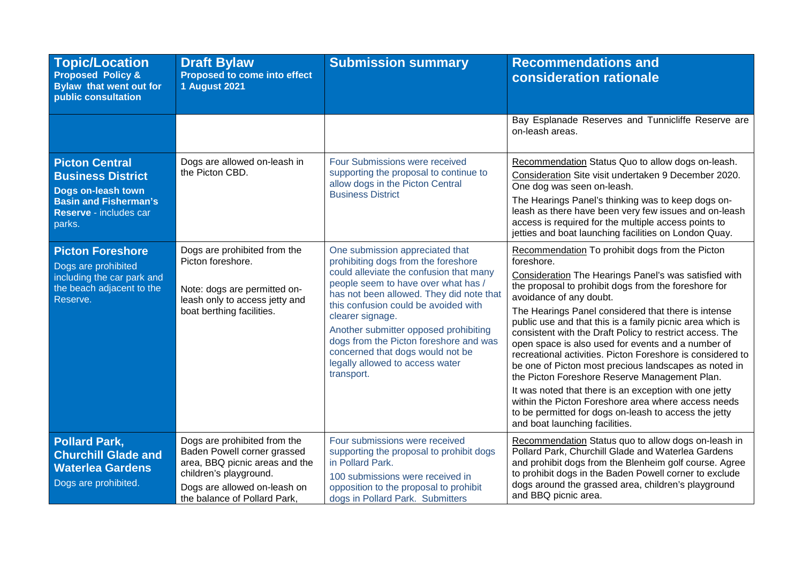| <b>Topic/Location</b><br><b>Proposed Policy &amp;</b><br><b>Bylaw that went out for</b><br>public consultation                              | <b>Draft Bylaw</b><br><b>Proposed to come into effect</b><br><b>1 August 2021</b>                                                                                                       | <b>Submission summary</b>                                                                                                                                                                                                                                                                                                                                                                                                                | <b>Recommendations and</b><br><b>consideration rationale</b>                                                                                                                                                                                                                                                                                                                                                                                                                                                                                                                                                                                                                                                                                                                                                                        |
|---------------------------------------------------------------------------------------------------------------------------------------------|-----------------------------------------------------------------------------------------------------------------------------------------------------------------------------------------|------------------------------------------------------------------------------------------------------------------------------------------------------------------------------------------------------------------------------------------------------------------------------------------------------------------------------------------------------------------------------------------------------------------------------------------|-------------------------------------------------------------------------------------------------------------------------------------------------------------------------------------------------------------------------------------------------------------------------------------------------------------------------------------------------------------------------------------------------------------------------------------------------------------------------------------------------------------------------------------------------------------------------------------------------------------------------------------------------------------------------------------------------------------------------------------------------------------------------------------------------------------------------------------|
|                                                                                                                                             |                                                                                                                                                                                         |                                                                                                                                                                                                                                                                                                                                                                                                                                          | Bay Esplanade Reserves and Tunnicliffe Reserve are<br>on-leash areas.                                                                                                                                                                                                                                                                                                                                                                                                                                                                                                                                                                                                                                                                                                                                                               |
| <b>Picton Central</b><br><b>Business District</b><br>Dogs on-leash town<br><b>Basin and Fisherman's</b><br>Reserve - includes car<br>parks. | Dogs are allowed on-leash in<br>the Picton CBD.                                                                                                                                         | Four Submissions were received<br>supporting the proposal to continue to<br>allow dogs in the Picton Central<br><b>Business District</b>                                                                                                                                                                                                                                                                                                 | Recommendation Status Quo to allow dogs on-leash.<br>Consideration Site visit undertaken 9 December 2020.<br>One dog was seen on-leash.<br>The Hearings Panel's thinking was to keep dogs on-<br>leash as there have been very few issues and on-leash<br>access is required for the multiple access points to<br>jetties and boat launching facilities on London Quay.                                                                                                                                                                                                                                                                                                                                                                                                                                                             |
| <b>Picton Foreshore</b><br>Dogs are prohibited<br>including the car park and<br>the beach adjacent to the<br>Reserve.                       | Dogs are prohibited from the<br>Picton foreshore.<br>Note: dogs are permitted on-<br>leash only to access jetty and<br>boat berthing facilities.                                        | One submission appreciated that<br>prohibiting dogs from the foreshore<br>could alleviate the confusion that many<br>people seem to have over what has /<br>has not been allowed. They did note that<br>this confusion could be avoided with<br>clearer signage.<br>Another submitter opposed prohibiting<br>dogs from the Picton foreshore and was<br>concerned that dogs would not be<br>legally allowed to access water<br>transport. | Recommendation To prohibit dogs from the Picton<br>foreshore.<br>Consideration The Hearings Panel's was satisfied with<br>the proposal to prohibit dogs from the foreshore for<br>avoidance of any doubt.<br>The Hearings Panel considered that there is intense<br>public use and that this is a family picnic area which is<br>consistent with the Draft Policy to restrict access. The<br>open space is also used for events and a number of<br>recreational activities. Picton Foreshore is considered to<br>be one of Picton most precious landscapes as noted in<br>the Picton Foreshore Reserve Management Plan.<br>It was noted that there is an exception with one jetty<br>within the Picton Foreshore area where access needs<br>to be permitted for dogs on-leash to access the jetty<br>and boat launching facilities. |
| <b>Pollard Park,</b><br><b>Churchill Glade and</b><br><b>Waterlea Gardens</b><br>Dogs are prohibited.                                       | Dogs are prohibited from the<br>Baden Powell corner grassed<br>area, BBQ picnic areas and the<br>children's playground.<br>Dogs are allowed on-leash on<br>the balance of Pollard Park, | Four submissions were received<br>supporting the proposal to prohibit dogs<br>in Pollard Park.<br>100 submissions were received in<br>opposition to the proposal to prohibit<br>dogs in Pollard Park. Submitters                                                                                                                                                                                                                         | Recommendation Status quo to allow dogs on-leash in<br>Pollard Park, Churchill Glade and Waterlea Gardens<br>and prohibit dogs from the Blenheim golf course. Agree<br>to prohibit dogs in the Baden Powell corner to exclude<br>dogs around the grassed area, children's playground<br>and BBQ picnic area.                                                                                                                                                                                                                                                                                                                                                                                                                                                                                                                        |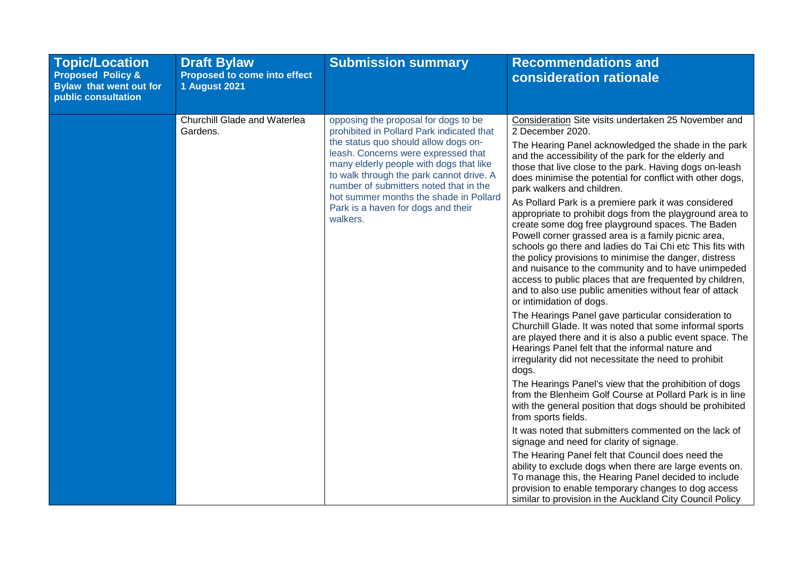| <b>Topic/Location</b><br><b>Proposed Policy &amp;</b><br><b>Bylaw that went out for</b><br>public consultation | <b>Draft Bylaw</b><br><b>Proposed to come into effect</b><br><b>1 August 2021</b> | <b>Submission summary</b>                                                                                                                                                                                                                                                                                                                                                                     | <b>Recommendations and</b><br>consideration rationale                                                                                                                                                                                                                                                                                                                                                                                                                                                                                                                                                                                                                                                                                                                                                                                                                                                                                                                                                                                                                                                                                                                                                                                                                                                                                                                                                                                                                                                                                                                                                                                               |
|----------------------------------------------------------------------------------------------------------------|-----------------------------------------------------------------------------------|-----------------------------------------------------------------------------------------------------------------------------------------------------------------------------------------------------------------------------------------------------------------------------------------------------------------------------------------------------------------------------------------------|-----------------------------------------------------------------------------------------------------------------------------------------------------------------------------------------------------------------------------------------------------------------------------------------------------------------------------------------------------------------------------------------------------------------------------------------------------------------------------------------------------------------------------------------------------------------------------------------------------------------------------------------------------------------------------------------------------------------------------------------------------------------------------------------------------------------------------------------------------------------------------------------------------------------------------------------------------------------------------------------------------------------------------------------------------------------------------------------------------------------------------------------------------------------------------------------------------------------------------------------------------------------------------------------------------------------------------------------------------------------------------------------------------------------------------------------------------------------------------------------------------------------------------------------------------------------------------------------------------------------------------------------------------|
|                                                                                                                | Churchill Glade and Waterlea<br>Gardens.                                          | opposing the proposal for dogs to be<br>prohibited in Pollard Park indicated that<br>the status quo should allow dogs on-<br>leash. Concerns were expressed that<br>many elderly people with dogs that like<br>to walk through the park cannot drive. A<br>number of submitters noted that in the<br>hot summer months the shade in Pollard<br>Park is a haven for dogs and their<br>walkers. | Consideration Site visits undertaken 25 November and<br>2 December 2020.<br>The Hearing Panel acknowledged the shade in the park<br>and the accessibility of the park for the elderly and<br>those that live close to the park. Having dogs on-leash<br>does minimise the potential for conflict with other dogs,<br>park walkers and children.<br>As Pollard Park is a premiere park it was considered<br>appropriate to prohibit dogs from the playground area to<br>create some dog free playground spaces. The Baden<br>Powell corner grassed area is a family picnic area,<br>schools go there and ladies do Tai Chi etc This fits with<br>the policy provisions to minimise the danger, distress<br>and nuisance to the community and to have unimpeded<br>access to public places that are frequented by children,<br>and to also use public amenities without fear of attack<br>or intimidation of dogs.<br>The Hearings Panel gave particular consideration to<br>Churchill Glade. It was noted that some informal sports<br>are played there and it is also a public event space. The<br>Hearings Panel felt that the informal nature and<br>irregularity did not necessitate the need to prohibit<br>dogs.<br>The Hearings Panel's view that the prohibition of dogs<br>from the Blenheim Golf Course at Pollard Park is in line<br>with the general position that dogs should be prohibited<br>from sports fields.<br>It was noted that submitters commented on the lack of<br>signage and need for clarity of signage.<br>The Hearing Panel felt that Council does need the<br>ability to exclude dogs when there are large events on. |
|                                                                                                                |                                                                                   |                                                                                                                                                                                                                                                                                                                                                                                               | To manage this, the Hearing Panel decided to include<br>provision to enable temporary changes to dog access<br>similar to provision in the Auckland City Council Policy                                                                                                                                                                                                                                                                                                                                                                                                                                                                                                                                                                                                                                                                                                                                                                                                                                                                                                                                                                                                                                                                                                                                                                                                                                                                                                                                                                                                                                                                             |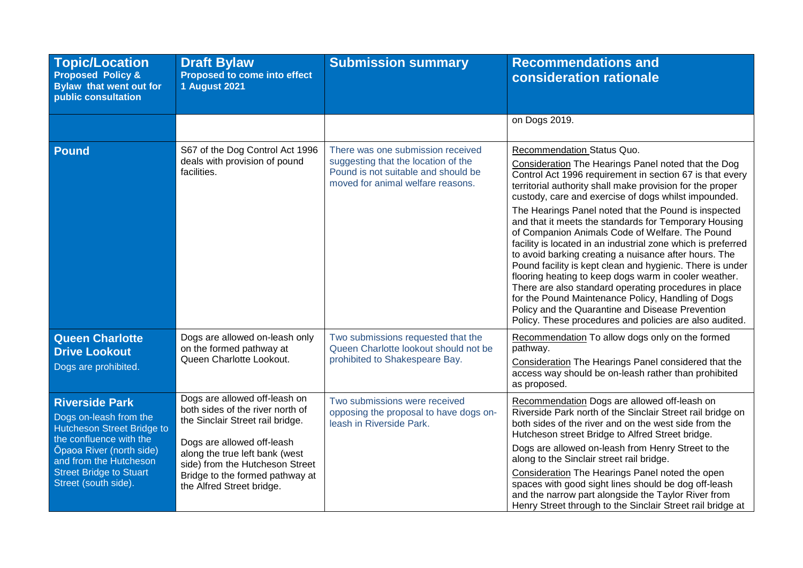| <b>Topic/Location</b><br><b>Proposed Policy &amp;</b><br><b>Bylaw that went out for</b><br>public consultation                                                                                                                  | <b>Draft Bylaw</b><br><b>Proposed to come into effect</b><br><b>1 August 2021</b>                                                                                                                                                                                        | <b>Submission summary</b>                                                                                                                            | <b>Recommendations and</b><br>consideration rationale                                                                                                                                                                                                                                                                                                                                                                                                                                                                                                                                                                                                                                                                                                                                                                                                                                                               |
|---------------------------------------------------------------------------------------------------------------------------------------------------------------------------------------------------------------------------------|--------------------------------------------------------------------------------------------------------------------------------------------------------------------------------------------------------------------------------------------------------------------------|------------------------------------------------------------------------------------------------------------------------------------------------------|---------------------------------------------------------------------------------------------------------------------------------------------------------------------------------------------------------------------------------------------------------------------------------------------------------------------------------------------------------------------------------------------------------------------------------------------------------------------------------------------------------------------------------------------------------------------------------------------------------------------------------------------------------------------------------------------------------------------------------------------------------------------------------------------------------------------------------------------------------------------------------------------------------------------|
|                                                                                                                                                                                                                                 |                                                                                                                                                                                                                                                                          |                                                                                                                                                      | on Dogs 2019.                                                                                                                                                                                                                                                                                                                                                                                                                                                                                                                                                                                                                                                                                                                                                                                                                                                                                                       |
| <b>Pound</b>                                                                                                                                                                                                                    | S67 of the Dog Control Act 1996<br>deals with provision of pound<br>facilities.                                                                                                                                                                                          | There was one submission received<br>suggesting that the location of the<br>Pound is not suitable and should be<br>moved for animal welfare reasons. | Recommendation Status Quo.<br>Consideration The Hearings Panel noted that the Dog<br>Control Act 1996 requirement in section 67 is that every<br>territorial authority shall make provision for the proper<br>custody, care and exercise of dogs whilst impounded.<br>The Hearings Panel noted that the Pound is inspected<br>and that it meets the standards for Temporary Housing<br>of Companion Animals Code of Welfare. The Pound<br>facility is located in an industrial zone which is preferred<br>to avoid barking creating a nuisance after hours. The<br>Pound facility is kept clean and hygienic. There is under<br>flooring heating to keep dogs warm in cooler weather.<br>There are also standard operating procedures in place<br>for the Pound Maintenance Policy, Handling of Dogs<br>Policy and the Quarantine and Disease Prevention<br>Policy. These procedures and policies are also audited. |
| <b>Queen Charlotte</b><br><b>Drive Lookout</b><br>Dogs are prohibited.                                                                                                                                                          | Dogs are allowed on-leash only<br>on the formed pathway at<br>Queen Charlotte Lookout.                                                                                                                                                                                   | Two submissions requested that the<br>Queen Charlotte lookout should not be<br>prohibited to Shakespeare Bay.                                        | Recommendation To allow dogs only on the formed<br>pathway.<br>Consideration The Hearings Panel considered that the<br>access way should be on-leash rather than prohibited<br>as proposed.                                                                                                                                                                                                                                                                                                                                                                                                                                                                                                                                                                                                                                                                                                                         |
| <b>Riverside Park</b><br>Dogs on-leash from the<br>Hutcheson Street Bridge to<br>the confluence with the<br><b>Opaoa River (north side)</b><br>and from the Hutcheson<br><b>Street Bridge to Stuart</b><br>Street (south side). | Dogs are allowed off-leash on<br>both sides of the river north of<br>the Sinclair Street rail bridge.<br>Dogs are allowed off-leash<br>along the true left bank (west<br>side) from the Hutcheson Street<br>Bridge to the formed pathway at<br>the Alfred Street bridge. | Two submissions were received<br>opposing the proposal to have dogs on-<br>leash in Riverside Park.                                                  | Recommendation Dogs are allowed off-leash on<br>Riverside Park north of the Sinclair Street rail bridge on<br>both sides of the river and on the west side from the<br>Hutcheson street Bridge to Alfred Street bridge.<br>Dogs are allowed on-leash from Henry Street to the<br>along to the Sinclair street rail bridge.<br>Consideration The Hearings Panel noted the open<br>spaces with good sight lines should be dog off-leash<br>and the narrow part alongside the Taylor River from<br>Henry Street through to the Sinclair Street rail bridge at                                                                                                                                                                                                                                                                                                                                                          |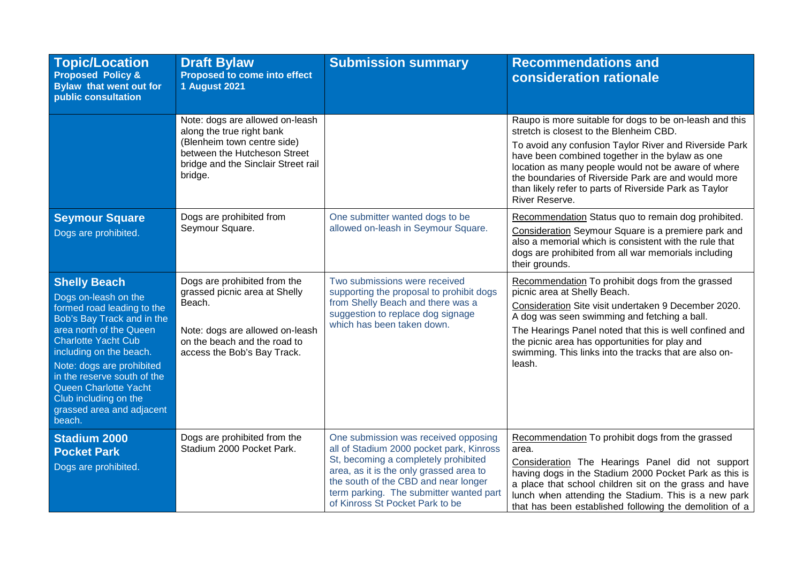| <b>Topic/Location</b><br><b>Proposed Policy &amp;</b><br><b>Bylaw that went out for</b><br>public consultation                                                                                                                                                                                                                                   | <b>Draft Bylaw</b><br><b>Proposed to come into effect</b><br><b>1 August 2021</b>                                                                                             | <b>Submission summary</b>                                                                                                                                                                                                                                                                 | <b>Recommendations and</b><br>consideration rationale                                                                                                                                                                                                                                                                                                                                                     |
|--------------------------------------------------------------------------------------------------------------------------------------------------------------------------------------------------------------------------------------------------------------------------------------------------------------------------------------------------|-------------------------------------------------------------------------------------------------------------------------------------------------------------------------------|-------------------------------------------------------------------------------------------------------------------------------------------------------------------------------------------------------------------------------------------------------------------------------------------|-----------------------------------------------------------------------------------------------------------------------------------------------------------------------------------------------------------------------------------------------------------------------------------------------------------------------------------------------------------------------------------------------------------|
|                                                                                                                                                                                                                                                                                                                                                  | Note: dogs are allowed on-leash<br>along the true right bank<br>(Blenheim town centre side)<br>between the Hutcheson Street<br>bridge and the Sinclair Street rail<br>bridge. |                                                                                                                                                                                                                                                                                           | Raupo is more suitable for dogs to be on-leash and this<br>stretch is closest to the Blenheim CBD.<br>To avoid any confusion Taylor River and Riverside Park<br>have been combined together in the bylaw as one<br>location as many people would not be aware of where<br>the boundaries of Riverside Park are and would more<br>than likely refer to parts of Riverside Park as Taylor<br>River Reserve. |
| <b>Seymour Square</b><br>Dogs are prohibited.                                                                                                                                                                                                                                                                                                    | Dogs are prohibited from<br>Seymour Square.                                                                                                                                   | One submitter wanted dogs to be<br>allowed on-leash in Seymour Square.                                                                                                                                                                                                                    | Recommendation Status quo to remain dog prohibited.<br>Consideration Seymour Square is a premiere park and<br>also a memorial which is consistent with the rule that<br>dogs are prohibited from all war memorials including<br>their grounds.                                                                                                                                                            |
| <b>Shelly Beach</b><br>Dogs on-leash on the<br>formed road leading to the<br>Bob's Bay Track and in the<br>area north of the Queen<br><b>Charlotte Yacht Cub</b><br>including on the beach.<br>Note: dogs are prohibited<br>in the reserve south of the<br>Queen Charlotte Yacht<br>Club including on the<br>grassed area and adjacent<br>beach. | Dogs are prohibited from the<br>grassed picnic area at Shelly<br>Beach.<br>Note: dogs are allowed on-leash<br>on the beach and the road to<br>access the Bob's Bay Track.     | Two submissions were received<br>supporting the proposal to prohibit dogs<br>from Shelly Beach and there was a<br>suggestion to replace dog signage<br>which has been taken down.                                                                                                         | Recommendation To prohibit dogs from the grassed<br>picnic area at Shelly Beach.<br>Consideration Site visit undertaken 9 December 2020.<br>A dog was seen swimming and fetching a ball.<br>The Hearings Panel noted that this is well confined and<br>the picnic area has opportunities for play and<br>swimming. This links into the tracks that are also on-<br>leash.                                 |
| <b>Stadium 2000</b><br><b>Pocket Park</b><br>Dogs are prohibited.                                                                                                                                                                                                                                                                                | Dogs are prohibited from the<br>Stadium 2000 Pocket Park.                                                                                                                     | One submission was received opposing<br>all of Stadium 2000 pocket park, Kinross<br>St, becoming a completely prohibited<br>area, as it is the only grassed area to<br>the south of the CBD and near longer<br>term parking. The submitter wanted part<br>of Kinross St Pocket Park to be | Recommendation To prohibit dogs from the grassed<br>area.<br>Consideration The Hearings Panel did not support<br>having dogs in the Stadium 2000 Pocket Park as this is<br>a place that school children sit on the grass and have<br>lunch when attending the Stadium. This is a new park<br>that has been established following the demolition of a                                                      |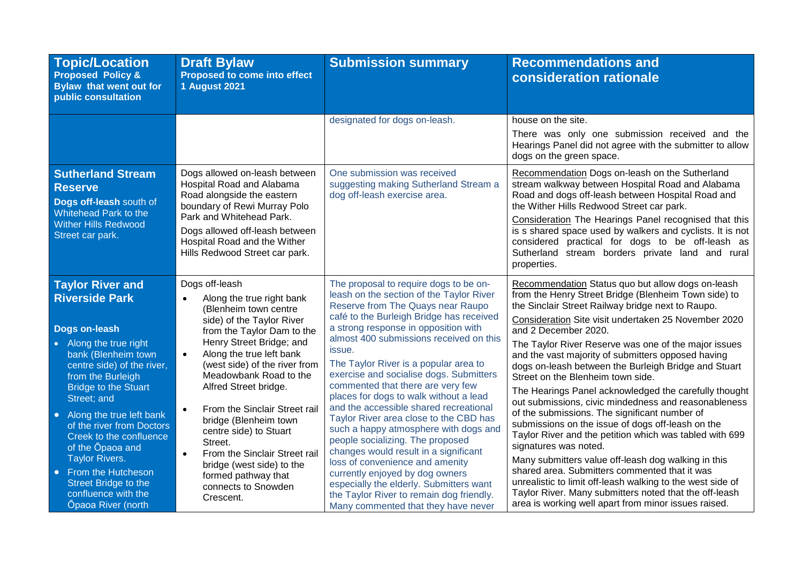| <b>Topic/Location</b><br><b>Proposed Policy &amp;</b><br><b>Bylaw that went out for</b><br>public consultation                                                                                                                                                                | <b>Draft Bylaw</b><br>Proposed to come into effect<br><b>1 August 2021</b>                                                                                                                                                                                                   | <b>Submission summary</b>                                                                                                                                                                                                                                                                                                                                                                                                                            | <b>Recommendations and</b><br>consideration rationale                                                                                                                                                                                                                                                                                                                                                                                                                                                                                                                                           |
|-------------------------------------------------------------------------------------------------------------------------------------------------------------------------------------------------------------------------------------------------------------------------------|------------------------------------------------------------------------------------------------------------------------------------------------------------------------------------------------------------------------------------------------------------------------------|------------------------------------------------------------------------------------------------------------------------------------------------------------------------------------------------------------------------------------------------------------------------------------------------------------------------------------------------------------------------------------------------------------------------------------------------------|-------------------------------------------------------------------------------------------------------------------------------------------------------------------------------------------------------------------------------------------------------------------------------------------------------------------------------------------------------------------------------------------------------------------------------------------------------------------------------------------------------------------------------------------------------------------------------------------------|
|                                                                                                                                                                                                                                                                               |                                                                                                                                                                                                                                                                              | designated for dogs on-leash.                                                                                                                                                                                                                                                                                                                                                                                                                        | house on the site.<br>There was only one submission received and the<br>Hearings Panel did not agree with the submitter to allow<br>dogs on the green space.                                                                                                                                                                                                                                                                                                                                                                                                                                    |
| <b>Sutherland Stream</b><br><b>Reserve</b><br>Dogs off-leash south of<br>Whitehead Park to the<br><b>Wither Hills Redwood</b><br>Street car park.                                                                                                                             | Dogs allowed on-leash between<br>Hospital Road and Alabama<br>Road alongside the eastern<br>boundary of Rewi Murray Polo<br>Park and Whitehead Park.<br>Dogs allowed off-leash between<br>Hospital Road and the Wither<br>Hills Redwood Street car park.                     | One submission was received<br>suggesting making Sutherland Stream a<br>dog off-leash exercise area.                                                                                                                                                                                                                                                                                                                                                 | Recommendation Dogs on-leash on the Sutherland<br>stream walkway between Hospital Road and Alabama<br>Road and dogs off-leash between Hospital Road and<br>the Wither Hills Redwood Street car park.<br>Consideration The Hearings Panel recognised that this<br>is s shared space used by walkers and cyclists. It is not<br>considered practical for dogs to be off-leash as<br>Sutherland stream borders private land and rural<br>properties.                                                                                                                                               |
| <b>Taylor River and</b><br><b>Riverside Park</b><br><b>Dogs on-leash</b><br>• Along the true right<br>bank (Blenheim town<br>centre side) of the river,<br>from the Burleigh                                                                                                  | Dogs off-leash<br>Along the true right bank<br>$\bullet$<br>(Blenheim town centre<br>side) of the Taylor River<br>from the Taylor Dam to the<br>Henry Street Bridge; and<br>Along the true left bank<br>$\bullet$<br>(west side) of the river from<br>Meadowbank Road to the | The proposal to require dogs to be on-<br>leash on the section of the Taylor River<br>Reserve from The Quays near Raupo<br>café to the Burleigh Bridge has received<br>a strong response in opposition with<br>almost 400 submissions received on this<br>issue.<br>The Taylor River is a popular area to<br>exercise and socialise dogs. Submitters<br>commented that there are very few                                                            | Recommendation Status quo but allow dogs on-leash<br>from the Henry Street Bridge (Blenheim Town side) to<br>the Sinclair Street Railway bridge next to Raupo.<br>Consideration Site visit undertaken 25 November 2020<br>and 2 December 2020.<br>The Taylor River Reserve was one of the major issues<br>and the vast majority of submitters opposed having<br>dogs on-leash between the Burleigh Bridge and Stuart<br>Street on the Blenheim town side.                                                                                                                                       |
| <b>Bridge to the Stuart</b><br>Street; and<br>Along the true left bank<br>of the river from Doctors<br>Creek to the confluence<br>of the Opaoa and<br><b>Taylor Rivers.</b><br>From the Hutcheson<br>Street Bridge to the<br>confluence with the<br><b>Opaoa River (north</b> | Alfred Street bridge.<br>From the Sinclair Street rail<br>$\bullet$<br>bridge (Blenheim town<br>centre side) to Stuart<br>Street.<br>From the Sinclair Street rail<br>$\bullet$<br>bridge (west side) to the<br>formed pathway that<br>connects to Snowden<br>Crescent.      | places for dogs to walk without a lead<br>and the accessible shared recreational<br>Taylor River area close to the CBD has<br>such a happy atmosphere with dogs and<br>people socializing. The proposed<br>changes would result in a significant<br>loss of convenience and amenity<br>currently enjoyed by dog owners<br>especially the elderly. Submitters want<br>the Taylor River to remain dog friendly.<br>Many commented that they have never | The Hearings Panel acknowledged the carefully thought<br>out submissions, civic mindedness and reasonableness<br>of the submissions. The significant number of<br>submissions on the issue of dogs off-leash on the<br>Taylor River and the petition which was tabled with 699<br>signatures was noted.<br>Many submitters value off-leash dog walking in this<br>shared area. Submitters commented that it was<br>unrealistic to limit off-leash walking to the west side of<br>Taylor River. Many submitters noted that the off-leash<br>area is working well apart from minor issues raised. |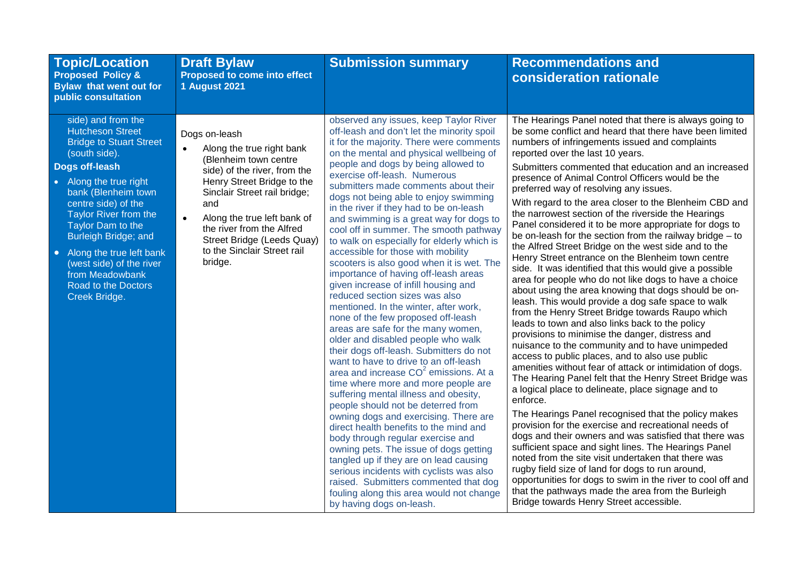| <b>Topic/Location</b><br><b>Proposed Policy &amp;</b><br><b>Bylaw that went out for</b><br>public consultation                                                                                                                                                                                                                                                                        | <b>Draft Bylaw</b><br>Proposed to come into effect<br><b>1 August 2021</b>                                                                                                                                                                                                                                                             | <b>Submission summary</b>                                                                                                                                                                                                                                                                                                                                                                                                                                                                                                                                                                                                                                                                                                                                                                                                                                                                                                                                                                                                                                                                                                                                                                                                                                                                                                                                                                                                                                                                                       | <b>Recommendations and</b><br>consideration rationale                                                                                                                                                                                                                                                                                                                                                                                                                                                                                                                                                                                                                                                                                                                                                                                                                                                                                                                                                                                                                                                                                                                                                                                                                                                                                                                                                                                                                                                                                                                                                                                                                                                                                                                                                                                                                                                                      |
|---------------------------------------------------------------------------------------------------------------------------------------------------------------------------------------------------------------------------------------------------------------------------------------------------------------------------------------------------------------------------------------|----------------------------------------------------------------------------------------------------------------------------------------------------------------------------------------------------------------------------------------------------------------------------------------------------------------------------------------|-----------------------------------------------------------------------------------------------------------------------------------------------------------------------------------------------------------------------------------------------------------------------------------------------------------------------------------------------------------------------------------------------------------------------------------------------------------------------------------------------------------------------------------------------------------------------------------------------------------------------------------------------------------------------------------------------------------------------------------------------------------------------------------------------------------------------------------------------------------------------------------------------------------------------------------------------------------------------------------------------------------------------------------------------------------------------------------------------------------------------------------------------------------------------------------------------------------------------------------------------------------------------------------------------------------------------------------------------------------------------------------------------------------------------------------------------------------------------------------------------------------------|----------------------------------------------------------------------------------------------------------------------------------------------------------------------------------------------------------------------------------------------------------------------------------------------------------------------------------------------------------------------------------------------------------------------------------------------------------------------------------------------------------------------------------------------------------------------------------------------------------------------------------------------------------------------------------------------------------------------------------------------------------------------------------------------------------------------------------------------------------------------------------------------------------------------------------------------------------------------------------------------------------------------------------------------------------------------------------------------------------------------------------------------------------------------------------------------------------------------------------------------------------------------------------------------------------------------------------------------------------------------------------------------------------------------------------------------------------------------------------------------------------------------------------------------------------------------------------------------------------------------------------------------------------------------------------------------------------------------------------------------------------------------------------------------------------------------------------------------------------------------------------------------------------------------------|
| side) and from the<br><b>Hutcheson Street</b><br><b>Bridge to Stuart Street</b><br>(south side).<br>Dogs off-leash<br>• Along the true right<br>bank (Blenheim town<br>centre side) of the<br>Taylor River from the<br>Taylor Dam to the<br>Burleigh Bridge; and<br>• Along the true left bank<br>(west side) of the river<br>from Meadowbank<br>Road to the Doctors<br>Creek Bridge. | Dogs on-leash<br>Along the true right bank<br>$\bullet$<br>(Blenheim town centre<br>side) of the river, from the<br>Henry Street Bridge to the<br>Sinclair Street rail bridge;<br>and<br>$\bullet$<br>Along the true left bank of<br>the river from the Alfred<br>Street Bridge (Leeds Quay)<br>to the Sinclair Street rail<br>bridge. | observed any issues, keep Taylor River<br>off-leash and don't let the minority spoil<br>it for the majority. There were comments<br>on the mental and physical wellbeing of<br>people and dogs by being allowed to<br>exercise off-leash. Numerous<br>submitters made comments about their<br>dogs not being able to enjoy swimming<br>in the river if they had to be on-leash<br>and swimming is a great way for dogs to<br>cool off in summer. The smooth pathway<br>to walk on especially for elderly which is<br>accessible for those with mobility<br>scooters is also good when it is wet. The<br>importance of having off-leash areas<br>given increase of infill housing and<br>reduced section sizes was also<br>mentioned. In the winter, after work,<br>none of the few proposed off-leash<br>areas are safe for the many women,<br>older and disabled people who walk<br>their dogs off-leash. Submitters do not<br>want to have to drive to an off-leash<br>area and increase $CO2$ emissions. At a<br>time where more and more people are<br>suffering mental illness and obesity,<br>people should not be deterred from<br>owning dogs and exercising. There are<br>direct health benefits to the mind and<br>body through regular exercise and<br>owning pets. The issue of dogs getting<br>tangled up if they are on lead causing<br>serious incidents with cyclists was also<br>raised. Submitters commented that dog<br>fouling along this area would not change<br>by having dogs on-leash. | The Hearings Panel noted that there is always going to<br>be some conflict and heard that there have been limited<br>numbers of infringements issued and complaints<br>reported over the last 10 years.<br>Submitters commented that education and an increased<br>presence of Animal Control Officers would be the<br>preferred way of resolving any issues.<br>With regard to the area closer to the Blenheim CBD and<br>the narrowest section of the riverside the Hearings<br>Panel considered it to be more appropriate for dogs to<br>be on-leash for the section from the railway bridge $-$ to<br>the Alfred Street Bridge on the west side and to the<br>Henry Street entrance on the Blenheim town centre<br>side. It was identified that this would give a possible<br>area for people who do not like dogs to have a choice<br>about using the area knowing that dogs should be on-<br>leash. This would provide a dog safe space to walk<br>from the Henry Street Bridge towards Raupo which<br>leads to town and also links back to the policy<br>provisions to minimise the danger, distress and<br>nuisance to the community and to have unimpeded<br>access to public places, and to also use public<br>amenities without fear of attack or intimidation of dogs.<br>The Hearing Panel felt that the Henry Street Bridge was<br>a logical place to delineate, place signage and to<br>enforce.<br>The Hearings Panel recognised that the policy makes<br>provision for the exercise and recreational needs of<br>dogs and their owners and was satisfied that there was<br>sufficient space and sight lines. The Hearings Panel<br>noted from the site visit undertaken that there was<br>rugby field size of land for dogs to run around,<br>opportunities for dogs to swim in the river to cool off and<br>that the pathways made the area from the Burleigh<br>Bridge towards Henry Street accessible. |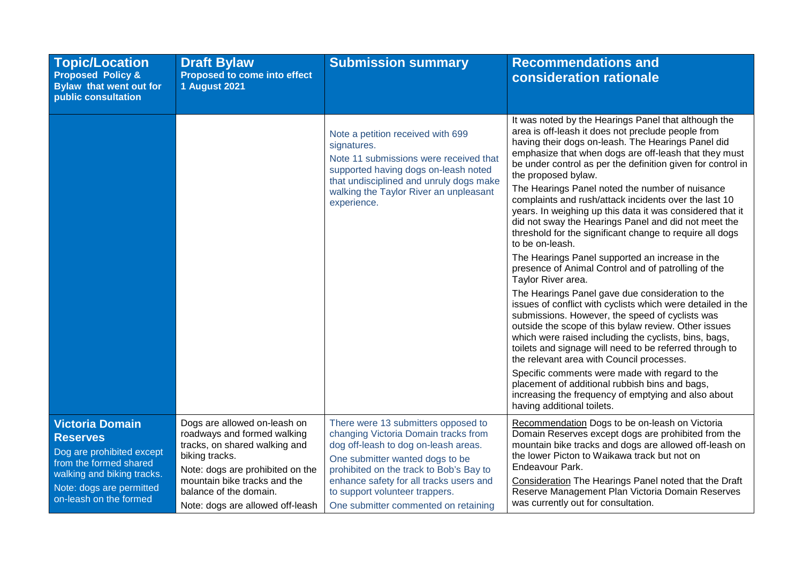| <b>Topic/Location</b><br><b>Proposed Policy &amp;</b><br>Bylaw that went out for<br>public consultation                                                                              | <b>Draft Bylaw</b><br>Proposed to come into effect<br><b>1 August 2021</b>                                                                                                                                                                       | <b>Submission summary</b>                                                                                                                                                                                                                                                                                              | <b>Recommendations and</b><br><b>consideration rationale</b>                                                                                                                                                                                                                                                                                                                                                                                                                                                                                                                                                                                                                                                                                                                                                                                                                                                                                                                                                                                                                                                                                                                                                                                                                                                                                            |
|--------------------------------------------------------------------------------------------------------------------------------------------------------------------------------------|--------------------------------------------------------------------------------------------------------------------------------------------------------------------------------------------------------------------------------------------------|------------------------------------------------------------------------------------------------------------------------------------------------------------------------------------------------------------------------------------------------------------------------------------------------------------------------|---------------------------------------------------------------------------------------------------------------------------------------------------------------------------------------------------------------------------------------------------------------------------------------------------------------------------------------------------------------------------------------------------------------------------------------------------------------------------------------------------------------------------------------------------------------------------------------------------------------------------------------------------------------------------------------------------------------------------------------------------------------------------------------------------------------------------------------------------------------------------------------------------------------------------------------------------------------------------------------------------------------------------------------------------------------------------------------------------------------------------------------------------------------------------------------------------------------------------------------------------------------------------------------------------------------------------------------------------------|
|                                                                                                                                                                                      |                                                                                                                                                                                                                                                  | Note a petition received with 699<br>signatures.<br>Note 11 submissions were received that<br>supported having dogs on-leash noted<br>that undisciplined and unruly dogs make<br>walking the Taylor River an unpleasant<br>experience.                                                                                 | It was noted by the Hearings Panel that although the<br>area is off-leash it does not preclude people from<br>having their dogs on-leash. The Hearings Panel did<br>emphasize that when dogs are off-leash that they must<br>be under control as per the definition given for control in<br>the proposed bylaw.<br>The Hearings Panel noted the number of nuisance<br>complaints and rush/attack incidents over the last 10<br>years. In weighing up this data it was considered that it<br>did not sway the Hearings Panel and did not meet the<br>threshold for the significant change to require all dogs<br>to be on-leash.<br>The Hearings Panel supported an increase in the<br>presence of Animal Control and of patrolling of the<br>Taylor River area.<br>The Hearings Panel gave due consideration to the<br>issues of conflict with cyclists which were detailed in the<br>submissions. However, the speed of cyclists was<br>outside the scope of this bylaw review. Other issues<br>which were raised including the cyclists, bins, bags,<br>toilets and signage will need to be referred through to<br>the relevant area with Council processes.<br>Specific comments were made with regard to the<br>placement of additional rubbish bins and bags,<br>increasing the frequency of emptying and also about<br>having additional toilets. |
| <b>Victoria Domain</b><br><b>Reserves</b><br>Dog are prohibited except<br>from the formed shared<br>walking and biking tracks.<br>Note: dogs are permitted<br>on-leash on the formed | Dogs are allowed on-leash on<br>roadways and formed walking<br>tracks, on shared walking and<br>biking tracks.<br>Note: dogs are prohibited on the<br>mountain bike tracks and the<br>balance of the domain.<br>Note: dogs are allowed off-leash | There were 13 submitters opposed to<br>changing Victoria Domain tracks from<br>dog off-leash to dog on-leash areas.<br>One submitter wanted dogs to be<br>prohibited on the track to Bob's Bay to<br>enhance safety for all tracks users and<br>to support volunteer trappers.<br>One submitter commented on retaining | Recommendation Dogs to be on-leash on Victoria<br>Domain Reserves except dogs are prohibited from the<br>mountain bike tracks and dogs are allowed off-leash on<br>the lower Picton to Waikawa track but not on<br>Endeavour Park.<br>Consideration The Hearings Panel noted that the Draft<br>Reserve Management Plan Victoria Domain Reserves<br>was currently out for consultation.                                                                                                                                                                                                                                                                                                                                                                                                                                                                                                                                                                                                                                                                                                                                                                                                                                                                                                                                                                  |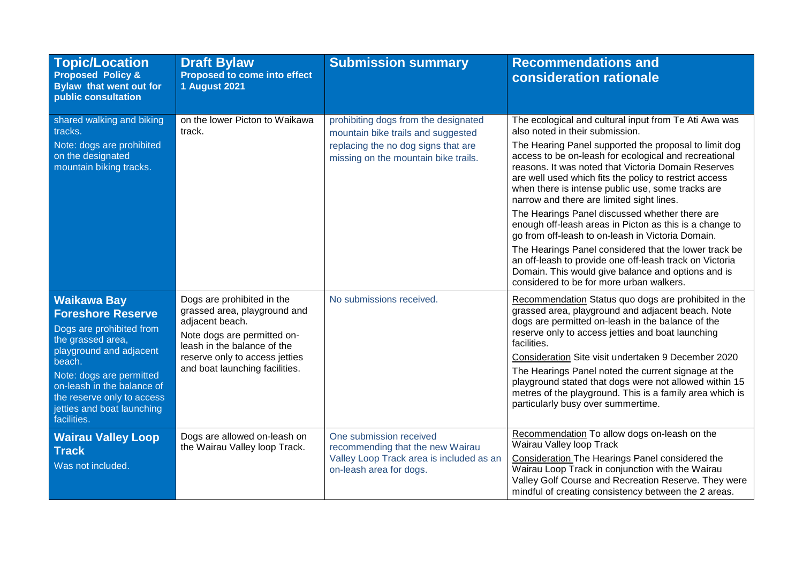| <b>Topic/Location</b><br><b>Proposed Policy &amp;</b><br>Bylaw that went out for<br>public consultation                                                                                                                                                                   | <b>Draft Bylaw</b><br>Proposed to come into effect<br><b>1 August 2021</b>                                                                                                                                      | <b>Submission summary</b>                                                                                                                                 | <b>Recommendations and</b><br>consideration rationale                                                                                                                                                                                                                                                                                                                                                                                                                                                                                                                                                                                                                                                                                                                                                                 |
|---------------------------------------------------------------------------------------------------------------------------------------------------------------------------------------------------------------------------------------------------------------------------|-----------------------------------------------------------------------------------------------------------------------------------------------------------------------------------------------------------------|-----------------------------------------------------------------------------------------------------------------------------------------------------------|-----------------------------------------------------------------------------------------------------------------------------------------------------------------------------------------------------------------------------------------------------------------------------------------------------------------------------------------------------------------------------------------------------------------------------------------------------------------------------------------------------------------------------------------------------------------------------------------------------------------------------------------------------------------------------------------------------------------------------------------------------------------------------------------------------------------------|
| shared walking and biking<br>tracks.<br>Note: dogs are prohibited<br>on the designated<br>mountain biking tracks.                                                                                                                                                         | on the lower Picton to Waikawa<br>track.                                                                                                                                                                        | prohibiting dogs from the designated<br>mountain bike trails and suggested<br>replacing the no dog signs that are<br>missing on the mountain bike trails. | The ecological and cultural input from Te Ati Awa was<br>also noted in their submission.<br>The Hearing Panel supported the proposal to limit dog<br>access to be on-leash for ecological and recreational<br>reasons. It was noted that Victoria Domain Reserves<br>are well used which fits the policy to restrict access<br>when there is intense public use, some tracks are<br>narrow and there are limited sight lines.<br>The Hearings Panel discussed whether there are<br>enough off-leash areas in Picton as this is a change to<br>go from off-leash to on-leash in Victoria Domain.<br>The Hearings Panel considered that the lower track be<br>an off-leash to provide one off-leash track on Victoria<br>Domain. This would give balance and options and is<br>considered to be for more urban walkers. |
| <b>Waikawa Bay</b><br><b>Foreshore Reserve</b><br>Dogs are prohibited from<br>the grassed area,<br>playground and adjacent<br>beach.<br>Note: dogs are permitted<br>on-leash in the balance of<br>the reserve only to access<br>jetties and boat launching<br>facilities. | Dogs are prohibited in the<br>grassed area, playground and<br>adjacent beach.<br>Note dogs are permitted on-<br>leash in the balance of the<br>reserve only to access jetties<br>and boat launching facilities. | No submissions received.                                                                                                                                  | Recommendation Status quo dogs are prohibited in the<br>grassed area, playground and adjacent beach. Note<br>dogs are permitted on-leash in the balance of the<br>reserve only to access jetties and boat launching<br>facilities.<br>Consideration Site visit undertaken 9 December 2020<br>The Hearings Panel noted the current signage at the<br>playground stated that dogs were not allowed within 15<br>metres of the playground. This is a family area which is<br>particularly busy over summertime.                                                                                                                                                                                                                                                                                                          |
| <b>Wairau Valley Loop</b><br><b>Track</b><br>Was not included.                                                                                                                                                                                                            | Dogs are allowed on-leash on<br>the Wairau Valley loop Track.                                                                                                                                                   | One submission received<br>recommending that the new Wairau<br>Valley Loop Track area is included as an<br>on-leash area for dogs.                        | Recommendation To allow dogs on-leash on the<br>Wairau Valley loop Track<br><b>Consideration The Hearings Panel considered the</b><br>Wairau Loop Track in conjunction with the Wairau<br>Valley Golf Course and Recreation Reserve. They were<br>mindful of creating consistency between the 2 areas.                                                                                                                                                                                                                                                                                                                                                                                                                                                                                                                |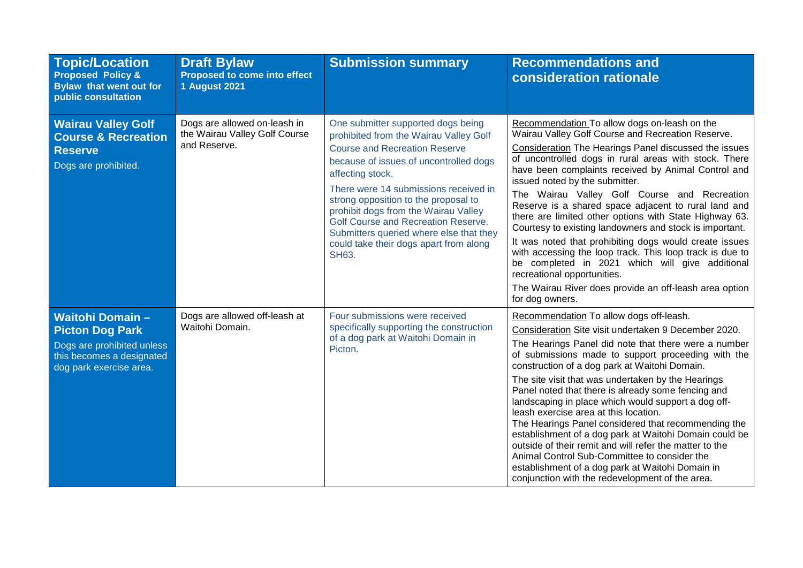| <b>Topic/Location</b><br><b>Proposed Policy &amp;</b><br>Bylaw that went out for<br>public consultation                                | <b>Draft Bylaw</b><br>Proposed to come into effect<br><b>1 August 2021</b>    | <b>Submission summary</b>                                                                                                                                                                                                                                                                                                                                                                                                                               | <b>Recommendations and</b><br>consideration rationale                                                                                                                                                                                                                                                                                                                                                                                                                                                                                                                                                                                                                                                                                                                                                                          |
|----------------------------------------------------------------------------------------------------------------------------------------|-------------------------------------------------------------------------------|---------------------------------------------------------------------------------------------------------------------------------------------------------------------------------------------------------------------------------------------------------------------------------------------------------------------------------------------------------------------------------------------------------------------------------------------------------|--------------------------------------------------------------------------------------------------------------------------------------------------------------------------------------------------------------------------------------------------------------------------------------------------------------------------------------------------------------------------------------------------------------------------------------------------------------------------------------------------------------------------------------------------------------------------------------------------------------------------------------------------------------------------------------------------------------------------------------------------------------------------------------------------------------------------------|
| <b>Wairau Valley Golf</b><br><b>Course &amp; Recreation</b><br><b>Reserve</b><br>Dogs are prohibited.                                  | Dogs are allowed on-leash in<br>the Wairau Valley Golf Course<br>and Reserve. | One submitter supported dogs being<br>prohibited from the Wairau Valley Golf<br><b>Course and Recreation Reserve</b><br>because of issues of uncontrolled dogs<br>affecting stock.<br>There were 14 submissions received in<br>strong opposition to the proposal to<br>prohibit dogs from the Wairau Valley<br>Golf Course and Recreation Reserve.<br>Submitters queried where else that they<br>could take their dogs apart from along<br><b>SH63.</b> | Recommendation To allow dogs on-leash on the<br>Wairau Valley Golf Course and Recreation Reserve.<br>Consideration The Hearings Panel discussed the issues<br>of uncontrolled dogs in rural areas with stock. There<br>have been complaints received by Animal Control and<br>issued noted by the submitter.<br>The Wairau Valley Golf Course and Recreation<br>Reserve is a shared space adjacent to rural land and<br>there are limited other options with State Highway 63.<br>Courtesy to existing landowners and stock is important.<br>It was noted that prohibiting dogs would create issues<br>with accessing the loop track. This loop track is due to<br>be completed in 2021 which will give additional<br>recreational opportunities.<br>The Wairau River does provide an off-leash area option<br>for dog owners. |
| <b>Waitohi Domain-</b><br><b>Picton Dog Park</b><br>Dogs are prohibited unless<br>this becomes a designated<br>dog park exercise area. | Dogs are allowed off-leash at<br>Waitohi Domain.                              | Four submissions were received<br>specifically supporting the construction<br>of a dog park at Waitohi Domain in<br>Picton.                                                                                                                                                                                                                                                                                                                             | Recommendation To allow dogs off-leash.<br>Consideration Site visit undertaken 9 December 2020.<br>The Hearings Panel did note that there were a number<br>of submissions made to support proceeding with the<br>construction of a dog park at Waitohi Domain.<br>The site visit that was undertaken by the Hearings<br>Panel noted that there is already some fencing and<br>landscaping in place which would support a dog off-<br>leash exercise area at this location.<br>The Hearings Panel considered that recommending the<br>establishment of a dog park at Waitohi Domain could be<br>outside of their remit and will refer the matter to the<br>Animal Control Sub-Committee to consider the<br>establishment of a dog park at Waitohi Domain in<br>conjunction with the redevelopment of the area.                  |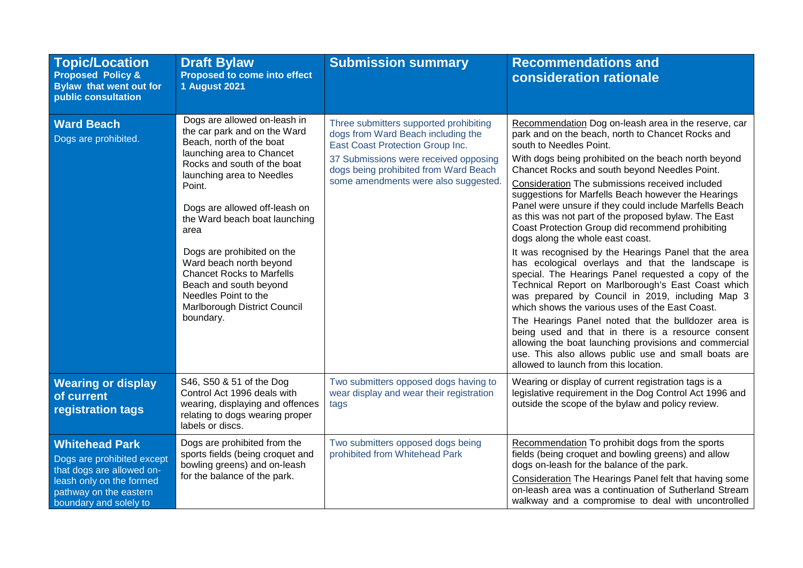| <b>Topic/Location</b><br><b>Proposed Policy &amp;</b><br><b>Bylaw that went out for</b><br>public consultation                                                   | <b>Draft Bylaw</b><br><b>Proposed to come into effect</b><br><b>1 August 2021</b>                                                                                                                                                                                                                                                                                                                                                                                 | <b>Submission summary</b>                                                                                                                                                                                                                  | <b>Recommendations and</b><br>consideration rationale                                                                                                                                                                                                                                                                                                                                                                                                                                                                                                                                                                                                                                                                                                                                                                                                                                                                                                                                                                                                                                                                                                                      |
|------------------------------------------------------------------------------------------------------------------------------------------------------------------|-------------------------------------------------------------------------------------------------------------------------------------------------------------------------------------------------------------------------------------------------------------------------------------------------------------------------------------------------------------------------------------------------------------------------------------------------------------------|--------------------------------------------------------------------------------------------------------------------------------------------------------------------------------------------------------------------------------------------|----------------------------------------------------------------------------------------------------------------------------------------------------------------------------------------------------------------------------------------------------------------------------------------------------------------------------------------------------------------------------------------------------------------------------------------------------------------------------------------------------------------------------------------------------------------------------------------------------------------------------------------------------------------------------------------------------------------------------------------------------------------------------------------------------------------------------------------------------------------------------------------------------------------------------------------------------------------------------------------------------------------------------------------------------------------------------------------------------------------------------------------------------------------------------|
| <b>Ward Beach</b><br>Dogs are prohibited.                                                                                                                        | Dogs are allowed on-leash in<br>the car park and on the Ward<br>Beach, north of the boat<br>launching area to Chancet<br>Rocks and south of the boat<br>launching area to Needles<br>Point.<br>Dogs are allowed off-leash on<br>the Ward beach boat launching<br>area<br>Dogs are prohibited on the<br>Ward beach north beyond<br><b>Chancet Rocks to Marfells</b><br>Beach and south beyond<br>Needles Point to the<br>Marlborough District Council<br>boundary. | Three submitters supported prohibiting<br>dogs from Ward Beach including the<br>East Coast Protection Group Inc.<br>37 Submissions were received opposing<br>dogs being prohibited from Ward Beach<br>some amendments were also suggested. | Recommendation Dog on-leash area in the reserve, car<br>park and on the beach, north to Chancet Rocks and<br>south to Needles Point.<br>With dogs being prohibited on the beach north beyond<br>Chancet Rocks and south beyond Needles Point.<br>Consideration The submissions received included<br>suggestions for Marfells Beach however the Hearings<br>Panel were unsure if they could include Marfells Beach<br>as this was not part of the proposed bylaw. The East<br>Coast Protection Group did recommend prohibiting<br>dogs along the whole east coast.<br>It was recognised by the Hearings Panel that the area<br>has ecological overlays and that the landscape is<br>special. The Hearings Panel requested a copy of the<br>Technical Report on Marlborough's East Coast which<br>was prepared by Council in 2019, including Map 3<br>which shows the various uses of the East Coast.<br>The Hearings Panel noted that the bulldozer area is<br>being used and that in there is a resource consent<br>allowing the boat launching provisions and commercial<br>use. This also allows public use and small boats are<br>allowed to launch from this location. |
| <b>Wearing or display</b><br>of current<br>registration tags                                                                                                     | S46, S50 & 51 of the Dog<br>Control Act 1996 deals with<br>wearing, displaying and offences<br>relating to dogs wearing proper<br>labels or discs.                                                                                                                                                                                                                                                                                                                | Two submitters opposed dogs having to<br>wear display and wear their registration<br>tags                                                                                                                                                  | Wearing or display of current registration tags is a<br>legislative requirement in the Dog Control Act 1996 and<br>outside the scope of the bylaw and policy review.                                                                                                                                                                                                                                                                                                                                                                                                                                                                                                                                                                                                                                                                                                                                                                                                                                                                                                                                                                                                       |
| <b>Whitehead Park</b><br>Dogs are prohibited except<br>that dogs are allowed on-<br>leash only on the formed<br>pathway on the eastern<br>boundary and solely to | Dogs are prohibited from the<br>sports fields (being croquet and<br>bowling greens) and on-leash<br>for the balance of the park.                                                                                                                                                                                                                                                                                                                                  | Two submitters opposed dogs being<br>prohibited from Whitehead Park                                                                                                                                                                        | Recommendation To prohibit dogs from the sports<br>fields (being croquet and bowling greens) and allow<br>dogs on-leash for the balance of the park.<br>Consideration The Hearings Panel felt that having some<br>on-leash area was a continuation of Sutherland Stream<br>walkway and a compromise to deal with uncontrolled                                                                                                                                                                                                                                                                                                                                                                                                                                                                                                                                                                                                                                                                                                                                                                                                                                              |